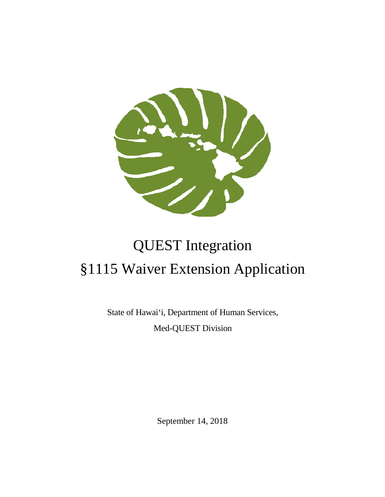

# QUEST Integration §1115 Waiver Extension Application

State of Hawai'i, Department of Human Services, Med-QUEST Division

September 14, 2018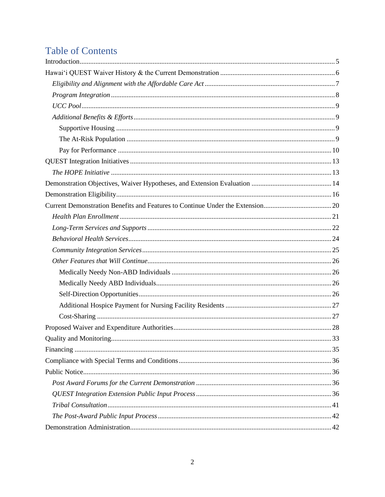# **Table of Contents**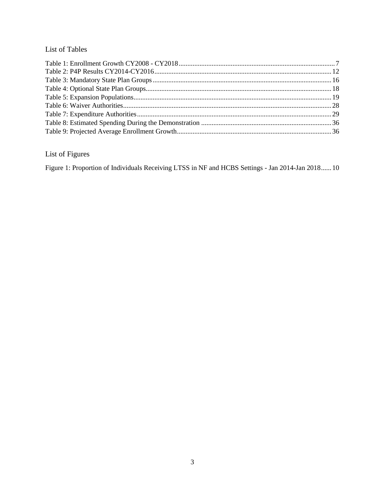#### List of Tables

# List of Figures

[Figure 1: Proportion of Individuals Receiving LTSS in NF and HCBS Settings -](#page-9-1) Jan 2014-Jan 2018......10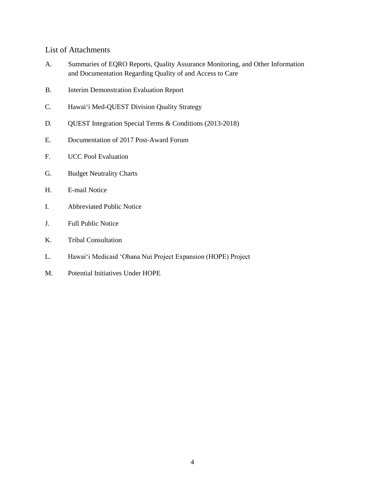#### List of Attachments

- A. Summaries of EQRO Reports, Quality Assurance Monitoring, and Other Information and Documentation Regarding Quality of and Access to Care
- B. Interim Demonstration Evaluation Report
- C. Hawai'i Med-QUEST Division Quality Strategy
- D. QUEST Integration Special Terms & Conditions (2013-2018)
- E. Documentation of 2017 Post-Award Forum
- F. UCC Pool Evaluation
- G. Budget Neutrality Charts
- H. E-mail Notice
- I. Abbreviated Public Notice
- J. Full Public Notice
- K. Tribal Consultation
- L. Hawai'i Medicaid 'Ohana Nui Project Expansion (HOPE) Project
- M. Potential Initiatives Under HOPE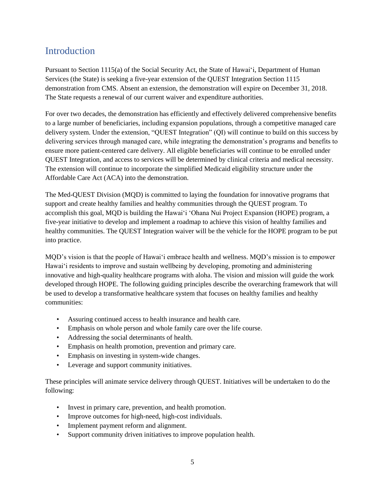# <span id="page-4-0"></span>Introduction

Pursuant to Section 1115(a) of the Social Security Act, the State of Hawai'i, Department of Human Services (the State) is seeking a five-year extension of the QUEST Integration Section 1115 demonstration from CMS. Absent an extension, the demonstration will expire on December 31, 2018. The State requests a renewal of our current waiver and expenditure authorities.

For over two decades, the demonstration has efficiently and effectively delivered comprehensive benefits to a large number of beneficiaries, including expansion populations, through a competitive managed care delivery system. Under the extension, "QUEST Integration" (QI) will continue to build on this success by delivering services through managed care, while integrating the demonstration's programs and benefits to ensure more patient-centered care delivery. All eligible beneficiaries will continue to be enrolled under QUEST Integration, and access to services will be determined by clinical criteria and medical necessity. The extension will continue to incorporate the simplified Medicaid eligibility structure under the Affordable Care Act (ACA) into the demonstration.

The Med-QUEST Division (MQD) is committed to laying the foundation for innovative programs that support and create healthy families and healthy communities through the QUEST program. To accomplish this goal, MQD is building the Hawai'i 'Ohana Nui Project Expansion (HOPE) program, a five-year initiative to develop and implement a roadmap to achieve this vision of healthy families and healthy communities. The QUEST Integration waiver will be the vehicle for the HOPE program to be put into practice.

MQD's vision is that the people of Hawai'i embrace health and wellness. MQD's mission is to empower Hawai'i residents to improve and sustain wellbeing by developing, promoting and administering innovative and high-quality healthcare programs with aloha. The vision and mission will guide the work developed through HOPE. The following guiding principles describe the overarching framework that will be used to develop a transformative healthcare system that focuses on healthy families and healthy communities:

- Assuring continued access to health insurance and health care.
- Emphasis on whole person and whole family care over the life course.
- Addressing the social determinants of health.
- Emphasis on health promotion, prevention and primary care.
- Emphasis on investing in system-wide changes.
- Leverage and support community initiatives.

These principles will animate service delivery through QUEST. Initiatives will be undertaken to do the following:

- Invest in primary care, prevention, and health promotion.
- Improve outcomes for high-need, high-cost individuals.
- Implement payment reform and alignment.
- Support community driven initiatives to improve population health.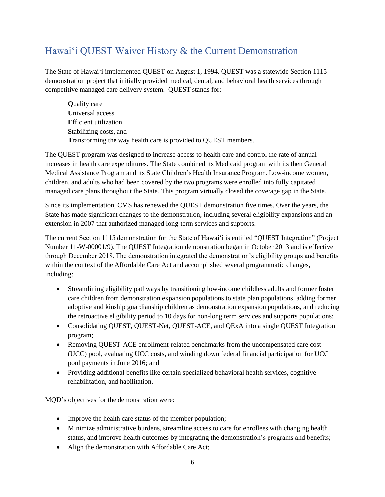# <span id="page-5-0"></span>Hawai'i QUEST Waiver History & the Current Demonstration

The State of Hawai'i implemented QUEST on August 1, 1994. QUEST was a statewide Section 1115 demonstration project that initially provided medical, dental, and behavioral health services through competitive managed care delivery system. QUEST stands for:

**Q**uality care **U**niversal access **E**fficient utilization **S**tabilizing costs, and **T**ransforming the way health care is provided to QUEST members.

The QUEST program was designed to increase access to health care and control the rate of annual increases in health care expenditures. The State combined its Medicaid program with its then General Medical Assistance Program and its State Children's Health Insurance Program. Low-income women, children, and adults who had been covered by the two programs were enrolled into fully capitated managed care plans throughout the State. This program virtually closed the coverage gap in the State.

Since its implementation, CMS has renewed the QUEST demonstration five times. Over the years, the State has made significant changes to the demonstration, including several eligibility expansions and an extension in 2007 that authorized managed long-term services and supports.

The current Section 1115 demonstration for the State of Hawai'i is entitled "QUEST Integration" (Project Number 11-W-00001/9). The QUEST Integration demonstration began in October 2013 and is effective through December 2018. The demonstration integrated the demonstration's eligibility groups and benefits within the context of the Affordable Care Act and accomplished several programmatic changes, including:

- Streamlining eligibility pathways by transitioning low-income childless adults and former foster care children from demonstration expansion populations to state plan populations, adding former adoptive and kinship guardianship children as demonstration expansion populations, and reducing the retroactive eligibility period to 10 days for non-long term services and supports populations;
- Consolidating QUEST, QUEST-Net, QUEST-ACE, and QExA into a single QUEST Integration program;
- Removing QUEST-ACE enrollment-related benchmarks from the uncompensated care cost (UCC) pool, evaluating UCC costs, and winding down federal financial participation for UCC pool payments in June 2016; and
- Providing additional benefits like certain specialized behavioral health services, cognitive rehabilitation, and habilitation.

MQD's objectives for the demonstration were:

- Improve the health care status of the member population;
- Minimize administrative burdens, streamline access to care for enrollees with changing health status, and improve health outcomes by integrating the demonstration's programs and benefits;
- Align the demonstration with Affordable Care Act;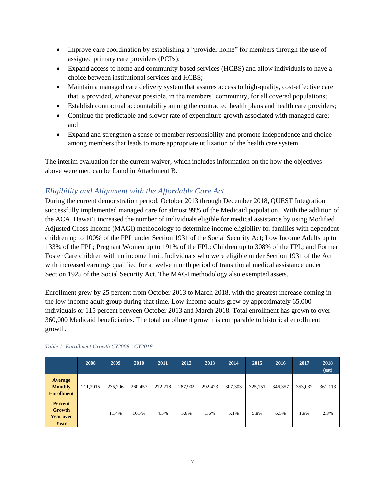- Improve care coordination by establishing a "provider home" for members through the use of assigned primary care providers (PCPs);
- Expand access to home and community-based services (HCBS) and allow individuals to have a choice between institutional services and HCBS;
- Maintain a managed care delivery system that assures access to high-quality, cost-effective care that is provided, whenever possible, in the members' community, for all covered populations;
- Establish contractual accountability among the contracted health plans and health care providers;
- Continue the predictable and slower rate of expenditure growth associated with managed care; and
- Expand and strengthen a sense of member responsibility and promote independence and choice among members that leads to more appropriate utilization of the health care system.

The interim evaluation for the current waiver, which includes information on the how the objectives above were met, can be found in Attachment B.

## <span id="page-6-0"></span>*Eligibility and Alignment with the Affordable Care Act*

During the current demonstration period, October 2013 through December 2018, QUEST Integration successfully implemented managed care for almost 99% of the Medicaid population. With the addition of the ACA, Hawai'i increased the number of individuals eligible for medical assistance by using Modified Adjusted Gross Income (MAGI) methodology to determine income eligibility for families with dependent children up to 100% of the FPL under Section 1931 of the Social Security Act; Low Income Adults up to 133% of the FPL; Pregnant Women up to 191% of the FPL; Children up to 308% of the FPL; and Former Foster Care children with no income limit. Individuals who were eligible under Section 1931 of the Act with increased earnings qualified for a twelve month period of transitional medical assistance under Section 1925 of the Social Security Act. The MAGI methodology also exempted assets.

Enrollment grew by 25 percent from October 2013 to March 2018, with the greatest increase coming in the low-income adult group during that time. Low-income adults grew by approximately 65,000 individuals or 115 percent between October 2013 and March 2018. Total enrollment has grown to over 360,000 Medicaid beneficiaries. The total enrollment growth is comparable to historical enrollment growth.

|                                                       | 2008     | 2009    | 2010    | 2011    | 2012    | 2013    | 2014    | 2015    | 2016    | 2017    | 2018<br>(est) |
|-------------------------------------------------------|----------|---------|---------|---------|---------|---------|---------|---------|---------|---------|---------------|
| <b>Average</b><br><b>Monthly</b><br><b>Enrollment</b> | 211,2015 | 235,206 | 260.457 | 272,218 | 287,902 | 292,423 | 307,303 | 325,151 | 346,357 | 353,032 | 361,113       |
| <b>Percent</b><br>Growth<br><b>Year over</b><br>Year  |          | 11.4%   | 10.7%   | 4.5%    | 5.8%    | 1.6%    | 5.1%    | 5.8%    | 6.5%    | 1.9%    | 2.3%          |

#### <span id="page-6-1"></span>*Table 1: Enrollment Growth CY2008 - CY2018*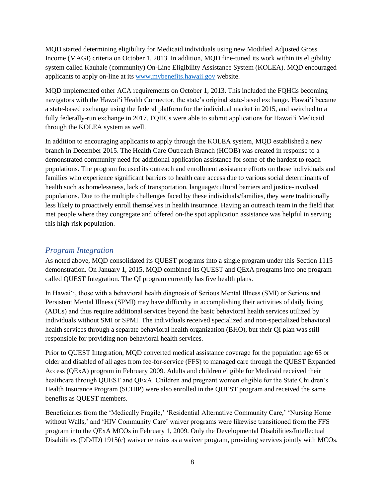MQD started determining eligibility for Medicaid individuals using new Modified Adjusted Gross Income (MAGI) criteria on October 1, 2013. In addition, MQD fine-tuned its work within its eligibility system called Kauhale (community) On-Line Eligibility Assistance System (KOLEA). MQD encouraged applicants to apply on-line at its [www.mybenefits.hawaii.gov](http://www.mybenefits.hawaii.gov/) website.

MQD implemented other ACA requirements on October 1, 2013. This included the FQHCs becoming navigators with the Hawai'i Health Connector, the state's original state-based exchange. Hawai'i became a state-based exchange using the federal platform for the individual market in 2015, and switched to a fully federally-run exchange in 2017. FQHCs were able to submit applications for Hawai'i Medicaid through the KOLEA system as well.

In addition to encouraging applicants to apply through the KOLEA system, MQD established a new branch in December 2015. The Health Care Outreach Branch (HCOB) was created in response to a demonstrated community need for additional application assistance for some of the hardest to reach populations. The program focused its outreach and enrollment assistance efforts on those individuals and families who experience significant barriers to health care access due to various social determinants of health such as homelessness, lack of transportation, language/cultural barriers and justice-involved populations. Due to the multiple challenges faced by these individuals/families, they were traditionally less likely to proactively enroll themselves in health insurance. Having an outreach team in the field that met people where they congregate and offered on-the spot application assistance was helpful in serving this high-risk population.

#### <span id="page-7-0"></span>*Program Integration*

As noted above, MQD consolidated its QUEST programs into a single program under this Section 1115 demonstration. On January 1, 2015, MQD combined its QUEST and QExA programs into one program called QUEST Integration. The QI program currently has five health plans.

In Hawai'i, those with a behavioral health diagnosis of Serious Mental Illness (SMI) or Serious and Persistent Mental Illness (SPMI) may have difficulty in accomplishing their activities of daily living (ADLs) and thus require additional services beyond the basic behavioral health services utilized by individuals without SMI or SPMI. The individuals received specialized and non-specialized behavioral health services through a separate behavioral health organization (BHO), but their QI plan was still responsible for providing non-behavioral health services.

Prior to QUEST Integration, MQD converted medical assistance coverage for the population age 65 or older and disabled of all ages from fee-for-service (FFS) to managed care through the QUEST Expanded Access (QExA) program in February 2009. Adults and children eligible for Medicaid received their healthcare through QUEST and QExA. Children and pregnant women eligible for the State Children's Health Insurance Program (SCHIP) were also enrolled in the QUEST program and received the same benefits as QUEST members.

Beneficiaries from the 'Medically Fragile,' 'Residential Alternative Community Care,' 'Nursing Home without Walls,' and 'HIV Community Care' waiver programs were likewise transitioned from the FFS program into the QExA MCOs in February 1, 2009. Only the Developmental Disabilities/Intellectual Disabilities (DD/ID) 1915(c) waiver remains as a waiver program, providing services jointly with MCOs.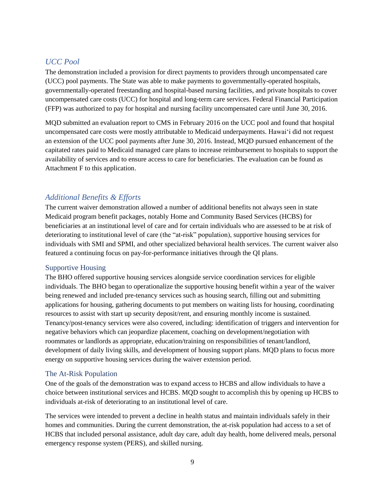#### <span id="page-8-0"></span>*UCC Pool*

The demonstration included a provision for direct payments to providers through uncompensated care (UCC) pool payments. The State was able to make payments to governmentally-operated hospitals, governmentally-operated freestanding and hospital-based nursing facilities, and private hospitals to cover uncompensated care costs (UCC) for hospital and long-term care services. Federal Financial Participation (FFP) was authorized to pay for hospital and nursing facility uncompensated care until June 30, 2016.

MQD submitted an evaluation report to CMS in February 2016 on the UCC pool and found that hospital uncompensated care costs were mostly attributable to Medicaid underpayments. Hawai'i did not request an extension of the UCC pool payments after June 30, 2016. Instead, MQD pursued enhancement of the capitated rates paid to Medicaid managed care plans to increase reimbursement to hospitals to support the availability of services and to ensure access to care for beneficiaries. The evaluation can be found as Attachment F to this application.

#### <span id="page-8-1"></span>*Additional Benefits & Efforts*

The current waiver demonstration allowed a number of additional benefits not always seen in state Medicaid program benefit packages, notably Home and Community Based Services (HCBS) for beneficiaries at an institutional level of care and for certain individuals who are assessed to be at risk of deteriorating to institutional level of care (the "at-risk" population), supportive housing services for individuals with SMI and SPMI, and other specialized behavioral health services. The current waiver also featured a continuing focus on pay-for-performance initiatives through the QI plans.

#### <span id="page-8-2"></span>Supportive Housing

The BHO offered supportive housing services alongside service coordination services for eligible individuals. The BHO began to operationalize the supportive housing benefit within a year of the waiver being renewed and included pre-tenancy services such as housing search, filling out and submitting applications for housing, gathering documents to put members on waiting lists for housing, coordinating resources to assist with start up security deposit/rent, and ensuring monthly income is sustained. Tenancy/post-tenancy services were also covered, including: identification of triggers and intervention for negative behaviors which can jeopardize placement, coaching on development/negotiation with roommates or landlords as appropriate, education/training on responsibilities of tenant/landlord, development of daily living skills, and development of housing support plans. MQD plans to focus more energy on supportive housing services during the waiver extension period.

#### <span id="page-8-3"></span>The At-Risk Population

One of the goals of the demonstration was to expand access to HCBS and allow individuals to have a choice between institutional services and HCBS. MQD sought to accomplish this by opening up HCBS to individuals at-risk of deteriorating to an institutional level of care.

The services were intended to prevent a decline in health status and maintain individuals safely in their homes and communities. During the current demonstration, the at-risk population had access to a set of HCBS that included personal assistance, adult day care, adult day health, home delivered meals, personal emergency response system (PERS), and skilled nursing.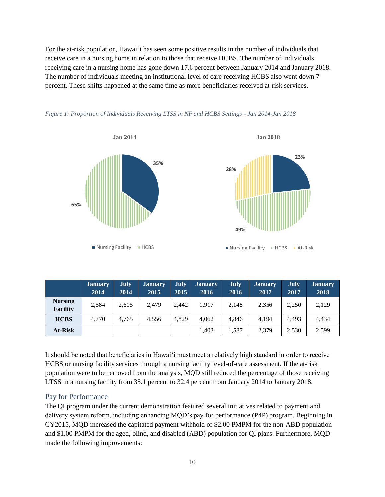For the at-risk population, Hawai'i has seen some positive results in the number of individuals that receive care in a nursing home in relation to those that receive HCBS. The number of individuals receiving care in a nursing home has gone down 17.6 percent between January 2014 and January 2018. The number of individuals meeting an institutional level of care receiving HCBS also went down 7 percent. These shifts happened at the same time as more beneficiaries received at-risk services.





<span id="page-9-1"></span>

|  |  | Figure 1: Proportion of Individuals Receiving LTSS in NF and HCBS Settings - Jan 2014-Jan 2018 |  |  |  |  |
|--|--|------------------------------------------------------------------------------------------------|--|--|--|--|
|  |  |                                                                                                |  |  |  |  |

|                                   | <b>January</b><br>2014 | <b>July</b><br>2014 | <b>January</b><br>2015 | <b>July</b><br>2015 | <b>January</b><br>2016 | <b>July</b><br>2016 | <b>January</b><br>2017 | July<br>2017 | <b>January</b><br>2018 |
|-----------------------------------|------------------------|---------------------|------------------------|---------------------|------------------------|---------------------|------------------------|--------------|------------------------|
| <b>Nursing</b><br><b>Facility</b> | 2,584                  | 2.605               | 2.479                  | 2.442               | 1.917                  | 2.148               | 2.356                  | 2,250        | 2,129                  |
| <b>HCBS</b>                       | 4.770                  | 4.765               | 4.556                  | 4.829               | 4.062                  | 4.846               | 4.194                  | 4.493        | 4.434                  |
| At-Risk                           |                        |                     |                        |                     | 1,403                  | 1.587               | 2,379                  | 2,530        | 2,599                  |

It should be noted that beneficiaries in Hawai'i must meet a relatively high standard in order to receive HCBS or nursing facility services through a nursing facility level-of-care assessment. If the at-risk population were to be removed from the analysis, MQD still reduced the percentage of those receiving LTSS in a nursing facility from 35.1 percent to 32.4 percent from January 2014 to January 2018.

#### <span id="page-9-0"></span>Pay for Performance

The QI program under the current demonstration featured several initiatives related to payment and delivery system reform, including enhancing MQD's pay for performance (P4P) program. Beginning in CY2015, MQD increased the capitated payment withhold of \$2.00 PMPM for the non-ABD population and \$1.00 PMPM for the aged, blind, and disabled (ABD) population for QI plans. Furthermore, MQD made the following improvements: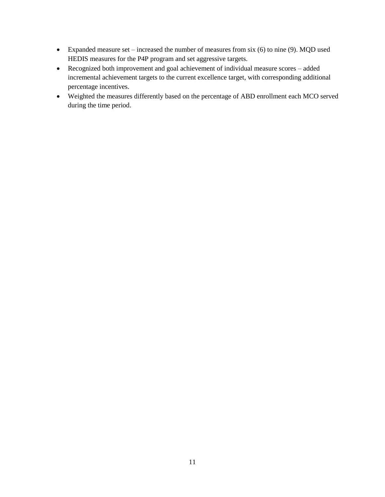- Expanded measure set increased the number of measures from six (6) to nine (9). MQD used HEDIS measures for the P4P program and set aggressive targets.
- Recognized both improvement and goal achievement of individual measure scores added incremental achievement targets to the current excellence target, with corresponding additional percentage incentives.
- Weighted the measures differently based on the percentage of ABD enrollment each MCO served during the time period.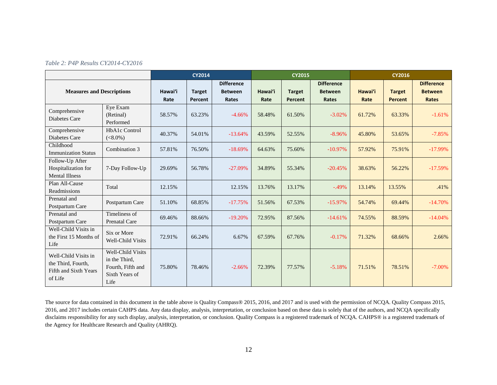<span id="page-11-0"></span>

|                                                                                |                                                                                   | <b>CY2014</b>   |                          |                                              | <b>CY2015</b>   |                          |                                              | <b>CY2016</b>   |                                 |                                              |
|--------------------------------------------------------------------------------|-----------------------------------------------------------------------------------|-----------------|--------------------------|----------------------------------------------|-----------------|--------------------------|----------------------------------------------|-----------------|---------------------------------|----------------------------------------------|
| <b>Measures and Descriptions</b>                                               |                                                                                   | Hawai'i<br>Rate | <b>Target</b><br>Percent | <b>Difference</b><br><b>Between</b><br>Rates | Hawai'i<br>Rate | <b>Target</b><br>Percent | <b>Difference</b><br><b>Between</b><br>Rates | Hawai'i<br>Rate | <b>Target</b><br><b>Percent</b> | <b>Difference</b><br><b>Between</b><br>Rates |
| Comprehensive<br>Diabetes Care                                                 | Eye Exam<br>(Retinal)<br>Performed                                                | 58.57%          | 63.23%                   | $-4.66%$                                     | 58.48%          | 61.50%                   | $-3.02%$                                     | 61.72%          | 63.33%                          | $-1.61%$                                     |
| Comprehensive<br>Diabetes Care                                                 | HbA1c Control<br>$(<8.0\%)$                                                       | 40.37%          | 54.01%                   | $-13.64%$                                    | 43.59%          | 52.55%                   | $-8.96%$                                     | 45.80%          | 53.65%                          | $-7.85%$                                     |
| Childhood<br><b>Immunization Status</b>                                        | Combination 3                                                                     | 57.81%          | 76.50%                   | $-18.69%$                                    | 64.63%          | 75.60%                   | $-10.97%$                                    | 57.92%          | 75.91%                          | $-17.99\%$                                   |
| Follow-Up After<br>Hospitalization for<br><b>Mental Illness</b>                | 7-Day Follow-Up                                                                   | 29.69%          | 56.78%                   | $-27.09%$                                    | 34.89%          | 55.34%                   | $-20.45%$                                    | 38.63%          | 56.22%                          | $-17.59%$                                    |
| Plan All-Cause<br>Readmissions                                                 | Total                                                                             | 12.15%          |                          | 12.15%                                       | 13.76%          | 13.17%                   | $-.49%$                                      | 13.14%          | 13.55%                          | .41%                                         |
| Prenatal and<br>Postpartum Care                                                | Postpartum Care                                                                   | 51.10%          | 68.85%                   | $-17.75%$                                    | 51.56%          | 67.53%                   | $-15.97%$                                    | 54.74%          | 69.44%                          | $-14.70%$                                    |
| Prenatal and<br>Postpartum Care                                                | Timeliness of<br><b>Prenatal Care</b>                                             | 69.46%          | 88.66%                   | $-19.20%$                                    | 72.95%          | 87.56%                   | $-14.61%$                                    | 74.55%          | 88.59%                          | $-14.04\%$                                   |
| Well-Child Visits in<br>the First 15 Months of<br>Life                         | Six or More<br><b>Well-Child Visits</b>                                           | 72.91%          | 66.24%                   | 6.67%                                        | 67.59%          | 67.76%                   | $-0.17%$                                     | 71.32%          | 68.66%                          | 2.66%                                        |
| Well-Child Visits in<br>the Third, Fourth,<br>Fifth and Sixth Years<br>of Life | Well-Child Visits<br>in the Third,<br>Fourth, Fifth and<br>Sixth Years of<br>Life | 75.80%          | 78.46%                   | $-2.66%$                                     | 72.39%          | 77.57%                   | $-5.18%$                                     | 71.51%          | 78.51%                          | $-7.00\%$                                    |

The source for data contained in this document in the table above is Quality Compass® 2015, 2016, and 2017 and is used with the permission of NCQA. Quality Compass 2015, 2016, and 2017 includes certain CAHPS data. Any data display, analysis, interpretation, or conclusion based on these data is solely that of the authors, and NCQA specifically disclaims responsibility for any such display, analysis, interpretation, or conclusion. Quality Compass is a registered trademark of NCQA. CAHPS® is a registered trademark of the Agency for Healthcare Research and Quality (AHRQ).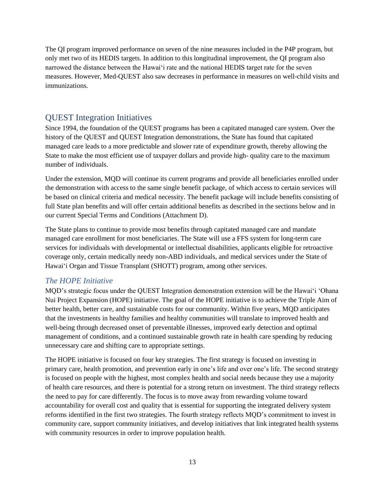The QI program improved performance on seven of the nine measures included in the P4P program, but only met two of its HEDIS targets. In addition to this longitudinal improvement, the QI program also narrowed the distance between the Hawai'i rate and the national HEDIS target rate for the seven measures. However, Med-QUEST also saw decreases in performance in measures on well-child visits and immunizations.

# <span id="page-12-0"></span>QUEST Integration Initiatives

Since 1994, the foundation of the QUEST programs has been a capitated managed care system. Over the history of the QUEST and QUEST Integration demonstrations, the State has found that capitated managed care leads to a more predictable and slower rate of expenditure growth, thereby allowing the State to make the most efficient use of taxpayer dollars and provide high- quality care to the maximum number of individuals.

Under the extension, MQD will continue its current programs and provide all beneficiaries enrolled under the demonstration with access to the same single benefit package, of which access to certain services will be based on clinical criteria and medical necessity. The benefit package will include benefits consisting of full State plan benefits and will offer certain additional benefits as described in the sections below and in our current Special Terms and Conditions (Attachment D).

The State plans to continue to provide most benefits through capitated managed care and mandate managed care enrollment for most beneficiaries. The State will use a FFS system for long-term care services for individuals with developmental or intellectual disabilities, applicants eligible for retroactive coverage only, certain medically needy non-ABD individuals, and medical services under the State of Hawai'i Organ and Tissue Transplant (SHOTT) program, among other services.

### <span id="page-12-1"></span>*The HOPE Initiative*

MQD's strategic focus under the QUEST Integration demonstration extension will be the Hawai'i 'Ohana Nui Project Expansion (HOPE) initiative. The goal of the HOPE initiative is to achieve the Triple Aim of better health, better care, and sustainable costs for our community. Within five years, MQD anticipates that the investments in healthy families and healthy communities will translate to improved health and well-being through decreased onset of preventable illnesses, improved early detection and optimal management of conditions, and a continued sustainable growth rate in health care spending by reducing unnecessary care and shifting care to appropriate settings.

The HOPE initiative is focused on four key strategies. The first strategy is focused on investing in primary care, health promotion, and prevention early in one's life and over one's life. The second strategy is focused on people with the highest, most complex health and social needs because they use a majority of health care resources, and there is potential for a strong return on investment. The third strategy reflects the need to pay for care differently. The focus is to move away from rewarding volume toward accountability for overall cost and quality that is essential for supporting the integrated delivery system reforms identified in the first two strategies. The fourth strategy reflects MQD's commitment to invest in community care, support community initiatives, and develop initiatives that link integrated health systems with community resources in order to improve population health.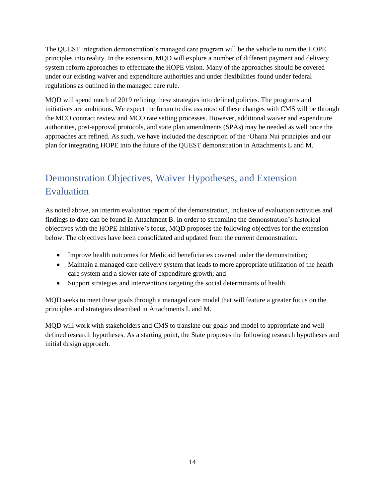The QUEST Integration demonstration's managed care program will be the vehicle to turn the HOPE principles into reality. In the extension, MQD will explore a number of different payment and delivery system reform approaches to effectuate the HOPE vision. Many of the approaches should be covered under our existing waiver and expenditure authorities and under flexibilities found under federal regulations as outlined in the managed care rule.

MQD will spend much of 2019 refining these strategies into defined policies. The programs and initiatives are ambitious. We expect the forum to discuss most of these changes with CMS will be through the MCO contract review and MCO rate setting processes. However, additional waiver and expenditure authorities, post-approval protocols, and state plan amendments (SPAs) may be needed as well once the approaches are refined. As such, we have included the description of the 'Ohana Nui principles and our plan for integrating HOPE into the future of the QUEST demonstration in Attachments L and M.

# <span id="page-13-0"></span>Demonstration Objectives, Waiver Hypotheses, and Extension Evaluation

As noted above, an interim evaluation report of the demonstration, inclusive of evaluation activities and findings to date can be found in Attachment B. In order to streamline the demonstration's historical objectives with the HOPE Initiative's focus, MQD proposes the following objectives for the extension below. The objectives have been consolidated and updated from the current demonstration.

- Improve health outcomes for Medicaid beneficiaries covered under the demonstration;
- Maintain a managed care delivery system that leads to more appropriate utilization of the health care system and a slower rate of expenditure growth; and
- Support strategies and interventions targeting the social determinants of health.

MQD seeks to meet these goals through a managed care model that will feature a greater focus on the principles and strategies described in Attachments L and M.

MQD will work with stakeholders and CMS to translate our goals and model to appropriate and well defined research hypotheses. As a starting point, the State proposes the following research hypotheses and initial design approach.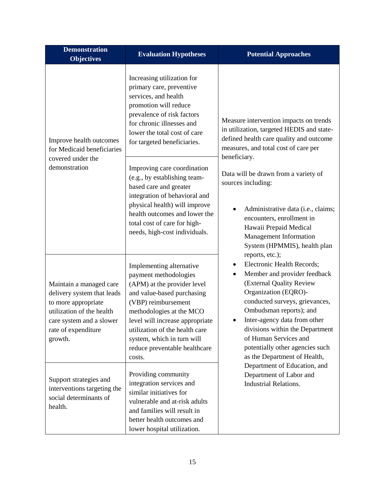| <b>Demonstration</b><br><b>Objectives</b>                                                                                                                                                                                                                                                             | <b>Evaluation Hypotheses</b>                                                                                                                                                                                                                                                                                    | <b>Potential Approaches</b>                                                                                                                                                                                                                                                                                                                                        |
|-------------------------------------------------------------------------------------------------------------------------------------------------------------------------------------------------------------------------------------------------------------------------------------------------------|-----------------------------------------------------------------------------------------------------------------------------------------------------------------------------------------------------------------------------------------------------------------------------------------------------------------|--------------------------------------------------------------------------------------------------------------------------------------------------------------------------------------------------------------------------------------------------------------------------------------------------------------------------------------------------------------------|
| Improve health outcomes<br>for Medicaid beneficiaries                                                                                                                                                                                                                                                 | Increasing utilization for<br>primary care, preventive<br>services, and health<br>promotion will reduce<br>prevalence of risk factors<br>for chronic illnesses and<br>lower the total cost of care<br>for targeted beneficiaries.                                                                               | Measure intervention impacts on trends<br>in utilization, targeted HEDIS and state-<br>defined health care quality and outcome<br>measures, and total cost of care per                                                                                                                                                                                             |
| covered under the<br>demonstration                                                                                                                                                                                                                                                                    | Improving care coordination<br>(e.g., by establishing team-<br>based care and greater<br>integration of behavioral and<br>physical health) will improve<br>health outcomes and lower the<br>total cost of care for high-<br>needs, high-cost individuals.                                                       | beneficiary.<br>Data will be drawn from a variety of<br>sources including:<br>Administrative data (i.e., claims;<br>encounters, enrollment in<br>Hawaii Prepaid Medical<br>Management Information<br>System (HPMMIS), health plan                                                                                                                                  |
| Maintain a managed care<br>delivery system that leads<br>to more appropriate<br>utilization of the health<br>care system and a slower<br>rate of expenditure<br>growth.                                                                                                                               | Implementing alternative<br>payment methodologies<br>(APM) at the provider level<br>and value-based purchasing<br>(VBP) reimbursement<br>methodologies at the MCO<br>level will increase appropriate<br>utilization of the health care<br>system, which in turn will<br>reduce preventable healthcare<br>costs. | reports, etc.);<br>Electronic Health Records;<br>Member and provider feedback<br>٠<br>(External Quality Review<br>Organization (EQRO)-<br>conducted surveys, grievances,<br>Ombudsman reports); and<br>Inter-agency data from other<br>divisions within the Department<br>of Human Services and<br>potentially other agencies such<br>as the Department of Health, |
| Providing community<br>Support strategies and<br>integration services and<br>interventions targeting the<br>similar initiatives for<br>social determinants of<br>vulnerable and at-risk adults<br>health.<br>and families will result in<br>better health outcomes and<br>lower hospital utilization. |                                                                                                                                                                                                                                                                                                                 | Department of Education, and<br>Department of Labor and<br><b>Industrial Relations.</b>                                                                                                                                                                                                                                                                            |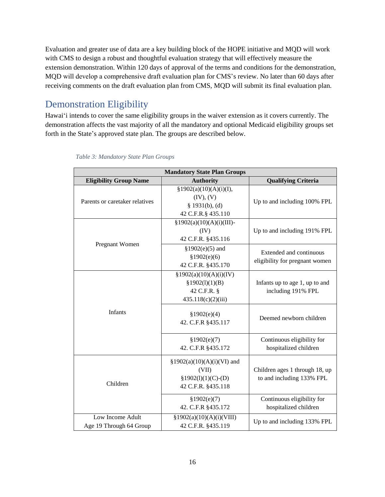Evaluation and greater use of data are a key building block of the HOPE initiative and MQD will work with CMS to design a robust and thoughtful evaluation strategy that will effectively measure the extension demonstration. Within 120 days of approval of the terms and conditions for the demonstration, MQD will develop a comprehensive draft evaluation plan for CMS's review. No later than 60 days after receiving comments on the draft evaluation plan from CMS, MQD will submit its final evaluation plan.

# <span id="page-15-0"></span>Demonstration Eligibility

Hawai'i intends to cover the same eligibility groups in the waiver extension as it covers currently. The demonstration affects the vast majority of all the mandatory and optional Medicaid eligibility groups set forth in the State's approved state plan. The groups are described below.

| <b>Mandatory State Plan Groups</b>          |                                                                                      |                                                             |  |  |  |  |
|---------------------------------------------|--------------------------------------------------------------------------------------|-------------------------------------------------------------|--|--|--|--|
| <b>Eligibility Group Name</b>               | <b>Authority</b>                                                                     | <b>Qualifying Criteria</b>                                  |  |  |  |  |
| Parents or caretaker relatives              | §1902(a)(10)(A)(i)(I),<br>(IV), (V)<br>$§$ 1931(b), (d)<br>42 C.F.R.§ 435.110        | Up to and including 100% FPL                                |  |  |  |  |
| Pregnant Women                              | $§1902(a)(10)(A)(i)(III)$ -<br>(IV)<br>42 C.F.R. §435.116                            | Up to and including 191% FPL                                |  |  |  |  |
|                                             | $$1902(e)(5)$ and<br>\$1902(e)(6)<br>42 C.F.R. §435.170                              | Extended and continuous<br>eligibility for pregnant women   |  |  |  |  |
| Infants                                     | §1902(a)(10)(A)(i)(IV)<br>\$1902(1)(1)(B)<br>42 C.F.R. §<br>435.118(c)(2)(iii)       | Infants up to age 1, up to and<br>including 191% FPL        |  |  |  |  |
|                                             | \$1902(e)(4)<br>42. C.F.R §435.117                                                   | Deemed newborn children                                     |  |  |  |  |
|                                             | \$1902(e)(7)<br>42. C.F.R §435.172                                                   | Continuous eligibility for<br>hospitalized children         |  |  |  |  |
| Children                                    | $§1902(a)(10)(A)(i)(VI)$ and<br>(VII)<br>$$1902(1)(1)(C)- (D)$<br>42 C.F.R. §435.118 | Children ages 1 through 18, up<br>to and including 133% FPL |  |  |  |  |
|                                             | \$1902(e)(7)<br>42. C.F.R §435.172                                                   | Continuous eligibility for<br>hospitalized children         |  |  |  |  |
| Low Income Adult<br>Age 19 Through 64 Group | §1902(a)(10)(A)(i)(VIII)<br>42 C.F.R. §435.119                                       | Up to and including 133% FPL                                |  |  |  |  |

<span id="page-15-1"></span> *Table 3: Mandatory State Plan Groups*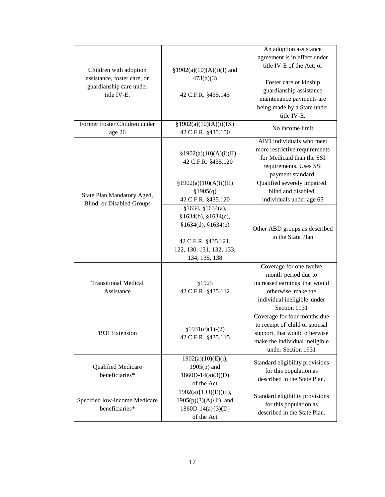| Children with adoption<br>assistance, foster care, or<br>guardianship care under<br>title IV-E. | $§1902(a)(10)(A)(i)(I)$ and<br>473(b)(3)<br>42 C.F.R. §435.145                                                                          | An adoption assistance<br>agreement is in effect under<br>title IV-E of the Act; or<br>Foster care or kinship<br>guardianship assistance<br>maintenance payments are<br>being made by a State under<br>title IV-E. |
|-------------------------------------------------------------------------------------------------|-----------------------------------------------------------------------------------------------------------------------------------------|--------------------------------------------------------------------------------------------------------------------------------------------------------------------------------------------------------------------|
| Former Foster Children under<br>age 26                                                          | §1902(a)(10)(A)(i)(IX)<br>42 C.F.R. §435.150                                                                                            | No income limit                                                                                                                                                                                                    |
|                                                                                                 | §1902(a)(10)(A)(i)(II)<br>42 C.F.R. §435.120                                                                                            | ABD individuals who meet<br>more restrictive requirements<br>for Medicaid than the SSI<br>requirements. Uses SSI<br>payment standard.                                                                              |
| State Plan Mandatory Aged,<br>Blind, or Disabled Groups                                         | §1902(a)(10)(A)(i)(II)<br>\$1905(q)<br>42 C.F.R. §435.120                                                                               | Qualified severely impaired<br>blind and disabled<br>individuals under age 65                                                                                                                                      |
|                                                                                                 | \$1634, \$1634(a),<br>\$1634(b), \$1634(c),<br>\$1634(d), \$1634(e)<br>42 C.F.R. §435.121,<br>122, 130, 131, 132, 133,<br>134, 135, 138 | Other ABD groups as described<br>in the State Plan                                                                                                                                                                 |
| <b>Transitional Medical</b><br>Assistance                                                       | §1925<br>42 C.F.R. §435.112                                                                                                             | Coverage for one twelve<br>month period due to<br>increased earnings that would<br>otherwise make the<br>individual ineligible under<br>Section 1931                                                               |
| 1931 Extension                                                                                  | $$1931(c)(1)-(2)$<br>42 C.F.R. §435.115                                                                                                 | Coverage for four months due<br>to receipt of child or spousal<br>support, that would otherwise<br>make the individual ineligible<br>under Section 1931                                                            |
| Qualified Medicare<br>beneficiaries*                                                            | $1902(a)(10)(E)(i)$ ,<br>$1905(p)$ and<br>$1860D-14(a)(3)(D)$<br>of the Act                                                             | Standard eligibility provisions<br>for this population as<br>described in the State Plan.                                                                                                                          |
| Specified low-income Medicare<br>beneficiaries*                                                 | 1902(a){1 O)(E)(iii),<br>$1905(p)(3)(A)$ {ii), and<br>$1860D-14(a)\{3)(D)$<br>of the Act                                                | Standard eligibility provisions<br>for this population as<br>described in the State Plan.                                                                                                                          |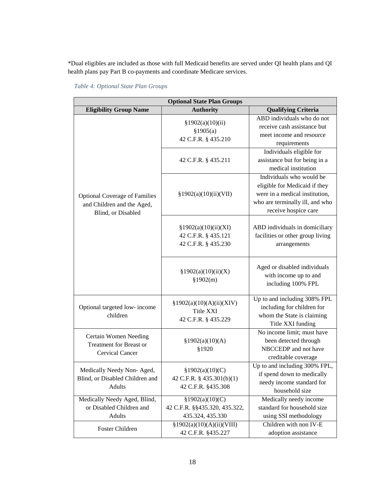\*Dual eligibles are included as those with full Medicaid benefits are served under QI health plans and QI health plans pay Part B co-payments and coordinate Medicare services.

<span id="page-17-0"></span> *Table 4: Optional State Plan Groups*

| <b>Optional State Plan Groups</b>                                                        |                                                                      |                                                                                                                                                        |  |  |  |  |
|------------------------------------------------------------------------------------------|----------------------------------------------------------------------|--------------------------------------------------------------------------------------------------------------------------------------------------------|--|--|--|--|
| <b>Eligibility Group Name</b>                                                            | <b>Authority</b>                                                     | <b>Qualifying Criteria</b>                                                                                                                             |  |  |  |  |
|                                                                                          | §1902(a)(10)(ii)<br>\$1905(a)<br>42 C.F.R. § 435.210                 | ABD individuals who do not<br>receive cash assistance but<br>meet income and resource<br>requirements                                                  |  |  |  |  |
|                                                                                          | 42 C.F.R. § 435.211                                                  | Individuals eligible for<br>assistance but for being in a<br>medical institution                                                                       |  |  |  |  |
| <b>Optional Coverage of Families</b><br>and Children and the Aged,<br>Blind, or Disabled | §1902(a)(10)(ii)(VII)                                                | Individuals who would be<br>eligible for Medicaid if they<br>were in a medical institution,<br>who are terminally ill, and who<br>receive hospice care |  |  |  |  |
|                                                                                          | §1902(a)(10)(ii)(XI)<br>42 C.F.R. § 435.121<br>42 C.F.R. § 435.230   | ABD individuals in domiciliary<br>facilities or other group living<br>arrangements                                                                     |  |  |  |  |
|                                                                                          | §1902(a)(10)(ii)(X)<br>\$1902(m)                                     | Aged or disabled individuals<br>with income up to and<br>including 100% FPL                                                                            |  |  |  |  |
| Optional targeted low- income<br>children                                                | §1902(a)(10)(A)(ii)(XIV)<br>Title XXI<br>42 C.F.R. § 435.229         | Up to and including 308% FPL<br>including for children for<br>whom the State is claiming<br>Title XXI funding                                          |  |  |  |  |
| Certain Women Needing<br><b>Treatment for Breast or</b><br>Cervical Cancer               | §1902(a)(10)(A)<br>§1920                                             | No income limit; must have<br>been detected through<br>NBCCEDP and not have<br>creditable coverage                                                     |  |  |  |  |
| Medically Needy Non-Aged,<br>Blind, or Disabled Children and<br>Adults                   | §1902(a)(10)(C)<br>42 C.F.R. § 435.301(b)(1)<br>42 C.F.R. §435.308   | Up to and including 300% FPL,<br>if spend down to medically<br>needy income standard for<br>household size                                             |  |  |  |  |
| Medically Needy Aged, Blind,<br>or Disabled Children and<br>Adults                       | §1902(a)(10)(C)<br>42 C.F.R. §§435.320, 435.322,<br>435.324, 435.330 | Medically needy income<br>standard for household size<br>using SSI methodology                                                                         |  |  |  |  |
| Foster Children                                                                          | §1902(a)(10)(A)(ii)(VIII)<br>42 C.F.R. §435.227                      | Children with non IV-E<br>adoption assistance                                                                                                          |  |  |  |  |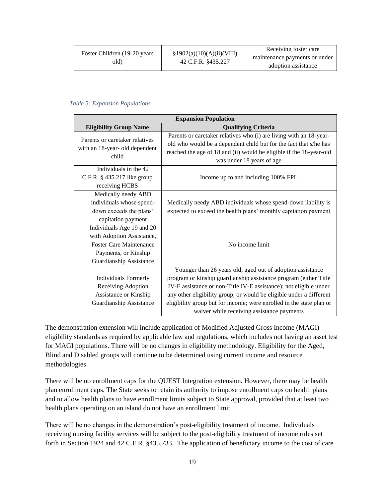|  | Foster Children (19-20 years)<br>old) | Receiving foster care<br>§1902(a)(10)(A)(ii)(VIII)<br>maintenance payments or under<br>42 C.F.R. §435.227<br>adoption assistance |
|--|---------------------------------------|----------------------------------------------------------------------------------------------------------------------------------|
|--|---------------------------------------|----------------------------------------------------------------------------------------------------------------------------------|

#### <span id="page-18-0"></span>*Table 5: Expansion Populations*

| <b>Expansion Population</b>                                                                                                                        |                                                                                                                                                                                                                                                                                                                                                                                                  |  |
|----------------------------------------------------------------------------------------------------------------------------------------------------|--------------------------------------------------------------------------------------------------------------------------------------------------------------------------------------------------------------------------------------------------------------------------------------------------------------------------------------------------------------------------------------------------|--|
| <b>Eligibility Group Name</b>                                                                                                                      | <b>Qualifying Criteria</b>                                                                                                                                                                                                                                                                                                                                                                       |  |
| Parents or caretaker relatives<br>with an 18-year- old dependent<br>child                                                                          | Parents or caretaker relatives who (i) are living with an 18-year-<br>old who would be a dependent child but for the fact that s/he has<br>reached the age of 18 and (ii) would be eligible if the 18-year-old<br>was under 18 years of age                                                                                                                                                      |  |
| Individuals in the 42<br>C.F.R. § 435.217 like group<br>receiving HCBS                                                                             | Income up to and including 100% FPL                                                                                                                                                                                                                                                                                                                                                              |  |
| Medically needy ABD<br>individuals whose spend-<br>down exceeds the plans'<br>capitation payment                                                   | Medically needy ABD individuals whose spend-down liability is<br>expected to exceed the health plans' monthly capitation payment                                                                                                                                                                                                                                                                 |  |
| Individuals Age 19 and 20<br>with Adoption Assistance,<br><b>Foster Care Maintenance</b><br>Payments, or Kinship<br><b>Guardianship Assistance</b> | No income limit                                                                                                                                                                                                                                                                                                                                                                                  |  |
| <b>Individuals Formerly</b><br>Receiving Adoption<br>Assistance or Kinship<br><b>Guardianship Assistance</b>                                       | Younger than 26 years old; aged out of adoption assistance<br>program or kinship guardianship assistance program (either Title<br>IV-E assistance or non-Title IV-E assistance); not eligible under<br>any other eligibility group, or would be eligible under a different<br>eligibility group but for income; were enrolled in the state plan or<br>waiver while receiving assistance payments |  |

The demonstration extension will include application of Modified Adjusted Gross Income (MAGI) eligibility standards as required by applicable law and regulations, which includes not having an asset test for MAGI populations. There will be no changes in eligibility methodology. Eligibility for the Aged, Blind and Disabled groups will continue to be determined using current income and resource methodologies.

There will be no enrollment caps for the QUEST Integration extension. However, there may be health plan enrollment caps. The State seeks to retain its authority to impose enrollment caps on health plans and to allow health plans to have enrollment limits subject to State approval, provided that at least two health plans operating on an island do not have an enrollment limit.

There will be no changes in the demonstration's post-eligibility treatment of income. Individuals receiving nursing facility services will be subject to the post-eligibility treatment of income rules set forth in Section 1924 and 42 C.F.R. §435.733. The application of beneficiary income to the cost of care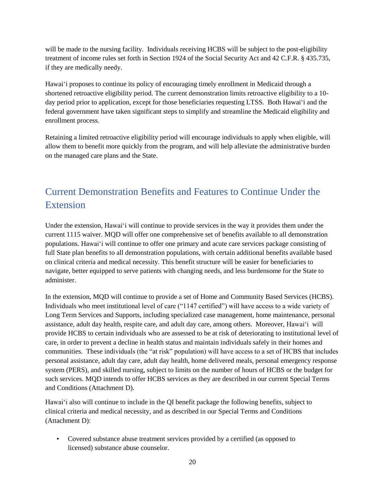will be made to the nursing facility. Individuals receiving HCBS will be subject to the post-eligibility treatment of income rules set forth in Section 1924 of the Social Security Act and 42 C.F.R. § 435.735, if they are medically needy.

Hawai'i proposes to continue its policy of encouraging timely enrollment in Medicaid through a shortened retroactive eligibility period. The current demonstration limits retroactive eligibility to a 10 day period prior to application, except for those beneficiaries requesting LTSS. Both Hawai'i and the federal government have taken significant steps to simplify and streamline the Medicaid eligibility and enrollment process.

Retaining a limited retroactive eligibility period will encourage individuals to apply when eligible, will allow them to benefit more quickly from the program, and will help alleviate the administrative burden on the managed care plans and the State.

# <span id="page-19-0"></span>Current Demonstration Benefits and Features to Continue Under the **Extension**

Under the extension, Hawai'i will continue to provide services in the way it provides them under the current 1115 waiver. MQD will offer one comprehensive set of benefits available to all demonstration populations. Hawai'i will continue to offer one primary and acute care services package consisting of full State plan benefits to all demonstration populations, with certain additional benefits available based on clinical criteria and medical necessity. This benefit structure will be easier for beneficiaries to navigate, better equipped to serve patients with changing needs, and less burdensome for the State to administer.

In the extension, MQD will continue to provide a set of Home and Community Based Services (HCBS). Individuals who meet institutional level of care ("1147 certified") will have access to a wide variety of Long Term Services and Supports, including specialized case management, home maintenance, personal assistance, adult day health, respite care, and adult day care, among others. Moreover, Hawai'i will provide HCBS to certain individuals who are assessed to be at risk of deteriorating to institutional level of care, in order to prevent a decline in health status and maintain individuals safely in their homes and communities. These individuals (the "at risk" population) will have access to a set of HCBS that includes personal assistance, adult day care, adult day health, home delivered meals, personal emergency response system (PERS), and skilled nursing, subject to limits on the number of hours of HCBS or the budget for such services. MQD intends to offer HCBS services as they are described in our current Special Terms and Conditions (Attachment D).

Hawai'i also will continue to include in the QI benefit package the following benefits, subject to clinical criteria and medical necessity, and as described in our Special Terms and Conditions (Attachment D):

• Covered substance abuse treatment services provided by a certified (as opposed to licensed) substance abuse counselor.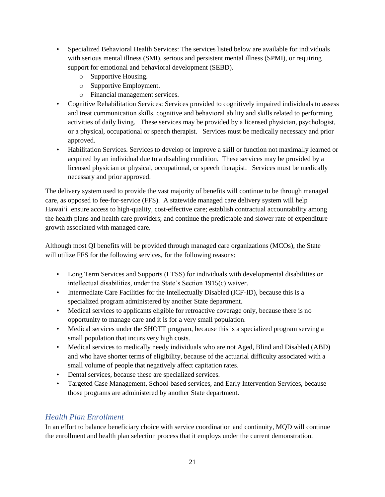- Specialized Behavioral Health Services: The services listed below are available for individuals with serious mental illness (SMI), serious and persistent mental illness (SPMI), or requiring support for emotional and behavioral development (SEBD).
	- o Supportive Housing.
	- o Supportive Employment.
	- o Financial management services.
- Cognitive Rehabilitation Services: Services provided to cognitively impaired individuals to assess and treat communication skills, cognitive and behavioral ability and skills related to performing activities of daily living. These services may be provided by a licensed physician, psychologist, or a physical, occupational or speech therapist. Services must be medically necessary and prior approved.
- Habilitation Services. Services to develop or improve a skill or function not maximally learned or acquired by an individual due to a disabling condition. These services may be provided by a licensed physician or physical, occupational, or speech therapist. Services must be medically necessary and prior approved.

The delivery system used to provide the vast majority of benefits will continue to be through managed care, as opposed to fee-for-service (FFS). A statewide managed care delivery system will help Hawai'i ensure access to high-quality, cost-effective care; establish contractual accountability among the health plans and health care providers; and continue the predictable and slower rate of expenditure growth associated with managed care.

Although most QI benefits will be provided through managed care organizations (MCOs), the State will utilize FFS for the following services, for the following reasons:

- Long Term Services and Supports (LTSS) for individuals with developmental disabilities or intellectual disabilities, under the State's Section 1915(c) waiver.
- Intermediate Care Facilities for the Intellectually Disabled (ICF-ID), because this is a specialized program administered by another State department.
- Medical services to applicants eligible for retroactive coverage only, because there is no opportunity to manage care and it is for a very small population.
- Medical services under the SHOTT program, because this is a specialized program serving a small population that incurs very high costs.
- Medical services to medically needy individuals who are not Aged, Blind and Disabled (ABD) and who have shorter terms of eligibility, because of the actuarial difficulty associated with a small volume of people that negatively affect capitation rates.
- Dental services, because these are specialized services.
- Targeted Case Management, School-based services, and Early Intervention Services, because those programs are administered by another State department.

## <span id="page-20-0"></span>*Health Plan Enrollment*

In an effort to balance beneficiary choice with service coordination and continuity, MQD will continue the enrollment and health plan selection process that it employs under the current demonstration.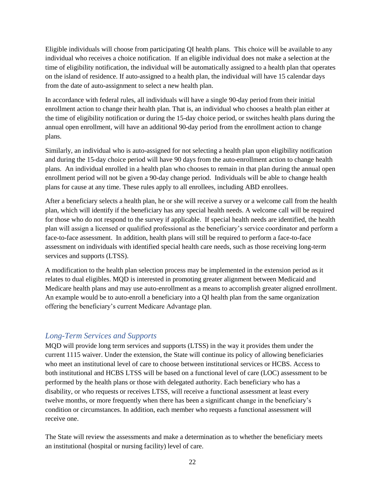Eligible individuals will choose from participating QI health plans. This choice will be available to any individual who receives a choice notification. If an eligible individual does not make a selection at the time of eligibility notification, the individual will be automatically assigned to a health plan that operates on the island of residence. If auto-assigned to a health plan, the individual will have 15 calendar days from the date of auto-assignment to select a new health plan.

In accordance with federal rules, all individuals will have a single 90-day period from their initial enrollment action to change their health plan. That is, an individual who chooses a health plan either at the time of eligibility notification or during the 15-day choice period, or switches health plans during the annual open enrollment, will have an additional 90-day period from the enrollment action to change plans.

Similarly, an individual who is auto-assigned for not selecting a health plan upon eligibility notification and during the 15-day choice period will have 90 days from the auto-enrollment action to change health plans. An individual enrolled in a health plan who chooses to remain in that plan during the annual open enrollment period will not be given a 90-day change period. Individuals will be able to change health plans for cause at any time. These rules apply to all enrollees, including ABD enrollees.

After a beneficiary selects a health plan, he or she will receive a survey or a welcome call from the health plan, which will identify if the beneficiary has any special health needs. A welcome call will be required for those who do not respond to the survey if applicable. If special health needs are identified, the health plan will assign a licensed or qualified professional as the beneficiary's service coordinator and perform a face-to-face assessment. In addition, health plans will still be required to perform a face-to-face assessment on individuals with identified special health care needs, such as those receiving long-term services and supports (LTSS).

A modification to the health plan selection process may be implemented in the extension period as it relates to dual eligibles. MQD is interested in promoting greater alignment between Medicaid and Medicare health plans and may use auto-enrollment as a means to accomplish greater aligned enrollment. An example would be to auto-enroll a beneficiary into a QI health plan from the same organization offering the beneficiary's current Medicare Advantage plan.

#### <span id="page-21-0"></span>*Long-Term Services and Supports*

MQD will provide long term services and supports (LTSS) in the way it provides them under the current 1115 waiver. Under the extension, the State will continue its policy of allowing beneficiaries who meet an institutional level of care to choose between institutional services or HCBS. Access to both institutional and HCBS LTSS will be based on a functional level of care (LOC) assessment to be performed by the health plans or those with delegated authority. Each beneficiary who has a disability, or who requests or receives LTSS, will receive a functional assessment at least every twelve months, or more frequently when there has been a significant change in the beneficiary's condition or circumstances. In addition, each member who requests a functional assessment will receive one.

The State will review the assessments and make a determination as to whether the beneficiary meets an institutional (hospital or nursing facility) level of care.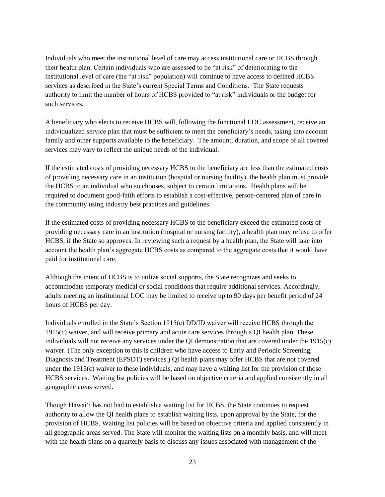Individuals who meet the institutional level of care may access institutional care or HCBS through their health plan. Certain individuals who are assessed to be "at risk" of deteriorating to the institutional level of care (the "at risk" population) will continue to have access to defined HCBS services as described in the State's current Special Terms and Conditions. The State requests authority to limit the number of hours of HCBS provided to "at risk" individuals or the budget for such services.

A beneficiary who elects to receive HCBS will, following the functional LOC assessment, receive an individualized service plan that must be sufficient to meet the beneficiary's needs, taking into account family and other supports available to the beneficiary. The amount, duration, and scope of all covered services may vary to reflect the unique needs of the individual.

If the estimated costs of providing necessary HCBS to the beneficiary are less than the estimated costs of providing necessary care in an institution (hospital or nursing facility), the health plan must provide the HCBS to an individual who so chooses, subject to certain limitations. Health plans will be required to document good-faith efforts to establish a cost-effective, person-centered plan of care in the community using industry best practices and guidelines.

If the estimated costs of providing necessary HCBS to the beneficiary exceed the estimated costs of providing necessary care in an institution (hospital or nursing facility), a health plan may refuse to offer HCBS, if the State so approves. In reviewing such a request by a health plan, the State will take into account the health plan's aggregate HCBS costs as compared to the aggregate costs that it would have paid for institutional care.

Although the intent of HCBS is to utilize social supports, the State recognizes and seeks to accommodate temporary medical or social conditions that require additional services. Accordingly, adults meeting an institutional LOC may be limited to receive up to 90 days per benefit period of 24 hours of HCBS per day.

Individuals enrolled in the State's Section 1915(c) DD/ID waiver will receive HCBS through the 1915(c) waiver, and will receive primary and acute care services through a QI health plan. These individuals will not receive any services under the QI demonstration that are covered under the 1915(c) waiver. (The only exception to this is children who have access to Early and Periodic Screening, Diagnosis and Treatment (EPSDT) services.) QI health plans may offer HCBS that are not covered under the 1915(c) waiver to these individuals, and may have a waiting list for the provision of those HCBS services. Waiting list policies will be based on objective criteria and applied consistently in all geographic areas served.

Though Hawai'i has not had to establish a waiting list for HCBS, the State continues to request authority to allow the QI health plans to establish waiting lists, upon approval by the State, for the provision of HCBS. Waiting list policies will be based on objective criteria and applied consistently in all geographic areas served. The State will monitor the waiting lists on a monthly basis, and will meet with the health plans on a quarterly basis to discuss any issues associated with management of the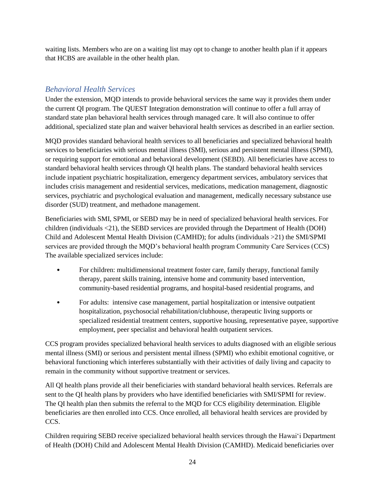waiting lists. Members who are on a waiting list may opt to change to another health plan if it appears that HCBS are available in the other health plan.

### <span id="page-23-0"></span>*Behavioral Health Services*

Under the extension, MQD intends to provide behavioral services the same way it provides them under the current QI program. The QUEST Integration demonstration will continue to offer a full array of standard state plan behavioral health services through managed care. It will also continue to offer additional, specialized state plan and waiver behavioral health services as described in an earlier section.

MQD provides standard behavioral health services to all beneficiaries and specialized behavioral health services to beneficiaries with serious mental illness (SMI), serious and persistent mental illness (SPMI), or requiring support for emotional and behavioral development (SEBD). All beneficiaries have access to standard behavioral health services through QI health plans. The standard behavioral health services include inpatient psychiatric hospitalization, emergency department services, ambulatory services that includes crisis management and residential services, medications, medication management, diagnostic services, psychiatric and psychological evaluation and management, medically necessary substance use disorder (SUD) treatment, and methadone management.

Beneficiaries with SMI, SPMI, or SEBD may be in need of specialized behavioral health services. For children (individuals <21), the SEBD services are provided through the Department of Health (DOH) Child and Adolescent Mental Health Division (CAMHD); for adults (individuals >21) the SMI/SPMI services are provided through the MQD's behavioral health program Community Care Services (CCS) The available specialized services include:

- For children: multidimensional treatment foster care, family therapy, functional family therapy, parent skills training, intensive home and community based intervention, community-based residential programs, and hospital-based residential programs, and
- For adults: intensive case management, partial hospitalization or intensive outpatient hospitalization, psychosocial rehabilitation/clubhouse, therapeutic living supports or specialized residential treatment centers, supportive housing, representative payee, supportive employment, peer specialist and behavioral health outpatient services.

CCS program provides specialized behavioral health services to adults diagnosed with an eligible serious mental illness (SMI) or serious and persistent mental illness (SPMI) who exhibit emotional cognitive, or behavioral functioning which interferes substantially with their activities of daily living and capacity to remain in the community without supportive treatment or services.

All QI health plans provide all their beneficiaries with standard behavioral health services. Referrals are sent to the QI health plans by providers who have identified beneficiaries with SMI/SPMI for review. The QI health plan then submits the referral to the MQD for CCS eligibility determination. Eligible beneficiaries are then enrolled into CCS. Once enrolled, all behavioral health services are provided by CCS.

Children requiring SEBD receive specialized behavioral health services through the Hawai'i Department of Health (DOH) Child and Adolescent Mental Health Division (CAMHD). Medicaid beneficiaries over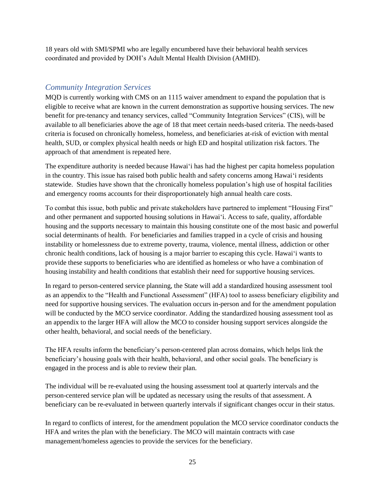18 years old with SMI/SPMI who are legally encumbered have their behavioral health services coordinated and provided by DOH's Adult Mental Health Division (AMHD).

#### <span id="page-24-0"></span>*Community Integration Services*

MQD is currently working with CMS on an 1115 waiver amendment to expand the population that is eligible to receive what are known in the current demonstration as supportive housing services. The new benefit for pre-tenancy and tenancy services, called "Community Integration Services" (CIS), will be available to all beneficiaries above the age of 18 that meet certain needs-based criteria. The needs-based criteria is focused on chronically homeless, homeless, and beneficiaries at-risk of eviction with mental health, SUD, or complex physical health needs or high ED and hospital utilization risk factors. The approach of that amendment is repeated here.

The expenditure authority is needed because Hawai'i has had the highest per capita homeless population in the country. This issue has raised both public health and safety concerns among Hawai'i residents statewide. Studies have shown that the chronically homeless population's high use of hospital facilities and emergency rooms accounts for their disproportionately high annual health care costs.

To combat this issue, both public and private stakeholders have partnered to implement "Housing First" and other permanent and supported housing solutions in Hawai'i. Access to safe, quality, affordable housing and the supports necessary to maintain this housing constitute one of the most basic and powerful social determinants of health. For beneficiaries and families trapped in a cycle of crisis and housing instability or homelessness due to extreme poverty, trauma, violence, mental illness, addiction or other chronic health conditions, lack of housing is a major barrier to escaping this cycle. Hawai'i wants to provide these supports to beneficiaries who are identified as homeless or who have a combination of housing instability and health conditions that establish their need for supportive housing services.

In regard to person-centered service planning, the State will add a standardized housing assessment tool as an appendix to the "Health and Functional Assessment" (HFA) tool to assess beneficiary eligibility and need for supportive housing services. The evaluation occurs in-person and for the amendment population will be conducted by the MCO service coordinator. Adding the standardized housing assessment tool as an appendix to the larger HFA will allow the MCO to consider housing support services alongside the other health, behavioral, and social needs of the beneficiary.

The HFA results inform the beneficiary's person-centered plan across domains, which helps link the beneficiary's housing goals with their health, behavioral, and other social goals. The beneficiary is engaged in the process and is able to review their plan.

The individual will be re-evaluated using the housing assessment tool at quarterly intervals and the person-centered service plan will be updated as necessary using the results of that assessment. A beneficiary can be re-evaluated in between quarterly intervals if significant changes occur in their status.

In regard to conflicts of interest, for the amendment population the MCO service coordinator conducts the HFA and writes the plan with the beneficiary. The MCO will maintain contracts with case management/homeless agencies to provide the services for the beneficiary.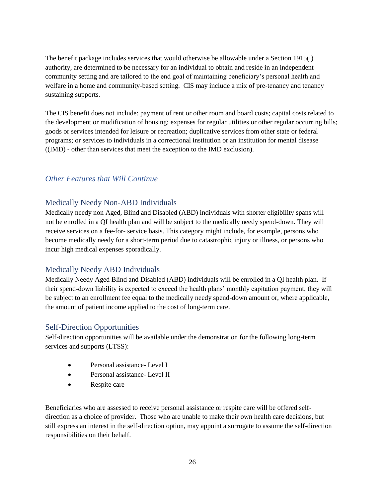The benefit package includes services that would otherwise be allowable under a Section 1915(i) authority, are determined to be necessary for an individual to obtain and reside in an independent community setting and are tailored to the end goal of maintaining beneficiary's personal health and welfare in a home and community-based setting. CIS may include a mix of pre-tenancy and tenancy sustaining supports.

The CIS benefit does not include: payment of rent or other room and board costs; capital costs related to the development or modification of housing; expenses for regular utilities or other regular occurring bills; goods or services intended for leisure or recreation; duplicative services from other state or federal programs; or services to individuals in a correctional institution or an institution for mental disease ((IMD) - other than services that meet the exception to the IMD exclusion).

#### <span id="page-25-0"></span>*Other Features that Will Continue*

#### <span id="page-25-1"></span>Medically Needy Non-ABD Individuals

Medically needy non Aged, Blind and Disabled (ABD) individuals with shorter eligibility spans will not be enrolled in a QI health plan and will be subject to the medically needy spend-down. They will receive services on a fee-for- service basis. This category might include, for example, persons who become medically needy for a short-term period due to catastrophic injury or illness, or persons who incur high medical expenses sporadically.

#### <span id="page-25-2"></span>Medically Needy ABD Individuals

Medically Needy Aged Blind and Disabled (ABD) individuals will be enrolled in a QI health plan. If their spend-down liability is expected to exceed the health plans' monthly capitation payment, they will be subject to an enrollment fee equal to the medically needy spend-down amount or, where applicable, the amount of patient income applied to the cost of long-term care.

#### <span id="page-25-3"></span>Self-Direction Opportunities

Self-direction opportunities will be available under the demonstration for the following long-term services and supports (LTSS):

- Personal assistance- Level I
- Personal assistance- Level II
- Respite care

Beneficiaries who are assessed to receive personal assistance or respite care will be offered selfdirection as a choice of provider. Those who are unable to make their own health care decisions, but still express an interest in the self-direction option, may appoint a surrogate to assume the self-direction responsibilities on their behalf.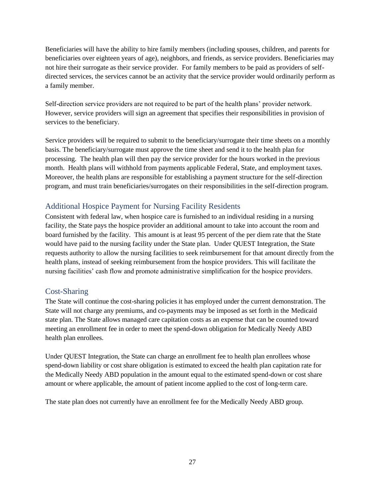Beneficiaries will have the ability to hire family members (including spouses, children, and parents for beneficiaries over eighteen years of age), neighbors, and friends, as service providers. Beneficiaries may not hire their surrogate as their service provider. For family members to be paid as providers of selfdirected services, the services cannot be an activity that the service provider would ordinarily perform as a family member.

Self-direction service providers are not required to be part of the health plans' provider network. However, service providers will sign an agreement that specifies their responsibilities in provision of services to the beneficiary.

Service providers will be required to submit to the beneficiary/surrogate their time sheets on a monthly basis. The beneficiary/surrogate must approve the time sheet and send it to the health plan for processing. The health plan will then pay the service provider for the hours worked in the previous month. Health plans will withhold from payments applicable Federal, State, and employment taxes. Moreover, the health plans are responsible for establishing a payment structure for the self-direction program, and must train beneficiaries/surrogates on their responsibilities in the self-direction program.

### <span id="page-26-0"></span>Additional Hospice Payment for Nursing Facility Residents

Consistent with federal law, when hospice care is furnished to an individual residing in a nursing facility, the State pays the hospice provider an additional amount to take into account the room and board furnished by the facility. This amount is at least 95 percent of the per diem rate that the State would have paid to the nursing facility under the State plan. Under QUEST Integration, the State requests authority to allow the nursing facilities to seek reimbursement for that amount directly from the health plans, instead of seeking reimbursement from the hospice providers. This will facilitate the nursing facilities' cash flow and promote administrative simplification for the hospice providers.

#### <span id="page-26-1"></span>Cost-Sharing

The State will continue the cost-sharing policies it has employed under the current demonstration. The State will not charge any premiums, and co-payments may be imposed as set forth in the Medicaid state plan. The State allows managed care capitation costs as an expense that can be counted toward meeting an enrollment fee in order to meet the spend-down obligation for Medically Needy ABD health plan enrollees.

Under QUEST Integration, the State can charge an enrollment fee to health plan enrollees whose spend-down liability or cost share obligation is estimated to exceed the health plan capitation rate for the Medically Needy ABD population in the amount equal to the estimated spend-down or cost share amount or where applicable, the amount of patient income applied to the cost of long-term care.

The state plan does not currently have an enrollment fee for the Medically Needy ABD group.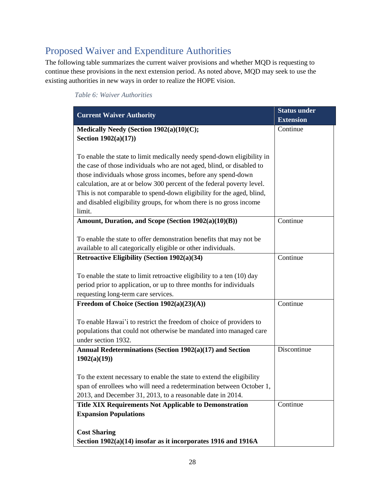# <span id="page-27-0"></span>Proposed Waiver and Expenditure Authorities

The following table summarizes the current waiver provisions and whether MQD is requesting to continue these provisions in the next extension period. As noted above, MQD may seek to use the existing authorities in new ways in order to realize the HOPE vision.

<span id="page-27-1"></span>

| Table 6: Waiver Authorities |
|-----------------------------|
|-----------------------------|

| <b>Current Waiver Authority</b>                                                                                                                                                                                                                                                                                                                                                                                                                    | <b>Status under</b><br><b>Extension</b> |
|----------------------------------------------------------------------------------------------------------------------------------------------------------------------------------------------------------------------------------------------------------------------------------------------------------------------------------------------------------------------------------------------------------------------------------------------------|-----------------------------------------|
| Medically Needy (Section 1902(a)(10)(C);<br>Section $1902(a)(17)$                                                                                                                                                                                                                                                                                                                                                                                  | Continue                                |
| To enable the state to limit medically needy spend-down eligibility in<br>the case of those individuals who are not aged, blind, or disabled to<br>those individuals whose gross incomes, before any spend-down<br>calculation, are at or below 300 percent of the federal poverty level.<br>This is not comparable to spend-down eligibility for the aged, blind,<br>and disabled eligibility groups, for whom there is no gross income<br>limit. |                                         |
| Amount, Duration, and Scope (Section 1902(a)(10)(B))                                                                                                                                                                                                                                                                                                                                                                                               | Continue                                |
| To enable the state to offer demonstration benefits that may not be<br>available to all categorically eligible or other individuals.                                                                                                                                                                                                                                                                                                               |                                         |
| Retroactive Eligibility (Section 1902(a)(34)                                                                                                                                                                                                                                                                                                                                                                                                       | Continue                                |
| To enable the state to limit retroactive eligibility to a ten $(10)$ day<br>period prior to application, or up to three months for individuals<br>requesting long-term care services.                                                                                                                                                                                                                                                              |                                         |
| Freedom of Choice (Section 1902(a)(23)(A))                                                                                                                                                                                                                                                                                                                                                                                                         | Continue                                |
| To enable Hawai'i to restrict the freedom of choice of providers to<br>populations that could not otherwise be mandated into managed care<br>under section 1932.                                                                                                                                                                                                                                                                                   |                                         |
| Annual Redeterminations (Section 1902(a)(17) and Section<br>1902(a)(19)                                                                                                                                                                                                                                                                                                                                                                            | Discontinue                             |
| To the extent necessary to enable the state to extend the eligibility<br>span of enrollees who will need a redetermination between October 1,<br>2013, and December 31, 2013, to a reasonable date in 2014.                                                                                                                                                                                                                                        |                                         |
| <b>Title XIX Requirements Not Applicable to Demonstration</b><br><b>Expansion Populations</b>                                                                                                                                                                                                                                                                                                                                                      | Continue                                |
|                                                                                                                                                                                                                                                                                                                                                                                                                                                    |                                         |
| <b>Cost Sharing</b><br>Section 1902(a)(14) insofar as it incorporates 1916 and 1916A                                                                                                                                                                                                                                                                                                                                                               |                                         |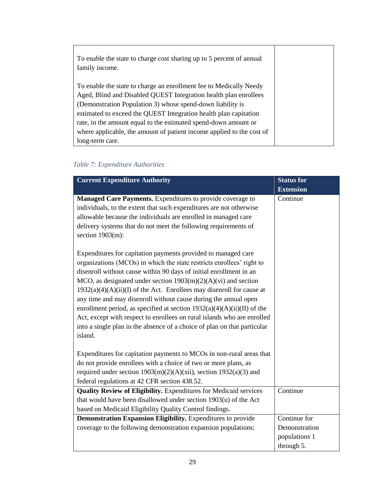| To enable the state to charge cost sharing up to 5 percent of annual<br>family income. |  |
|----------------------------------------------------------------------------------------|--|
| To enable the state to charge an enrollment fee to Medically Needy                     |  |
| Aged, Blind and Disabled QUEST Integration health plan enrollees                       |  |
| (Demonstration Population 3) whose spend-down liability is                             |  |
| estimated to exceed the QUEST Integration health plan capitation                       |  |
| rate, in the amount equal to the estimated spend-down amount or                        |  |
| where applicable, the amount of patient income applied to the cost of                  |  |
| long-term care.                                                                        |  |

### <span id="page-28-0"></span> *Table 7: Expenditure Authorities*

| <b>Current Expenditure Authority</b>                                                                                                                                                                                                                                                                                                                                                                                                                                                                                                                                                                                                                                                                                                                                                                                                                                                                                                                                           | <b>Status for</b>                            |
|--------------------------------------------------------------------------------------------------------------------------------------------------------------------------------------------------------------------------------------------------------------------------------------------------------------------------------------------------------------------------------------------------------------------------------------------------------------------------------------------------------------------------------------------------------------------------------------------------------------------------------------------------------------------------------------------------------------------------------------------------------------------------------------------------------------------------------------------------------------------------------------------------------------------------------------------------------------------------------|----------------------------------------------|
|                                                                                                                                                                                                                                                                                                                                                                                                                                                                                                                                                                                                                                                                                                                                                                                                                                                                                                                                                                                | <b>Extension</b>                             |
| Managed Care Payments. Expenditures to provide coverage to<br>individuals, to the extent that such expenditures are not otherwise<br>allowable because the individuals are enrolled in managed care<br>delivery systems that do not meet the following requirements of<br>section $1903(m)$ :<br>Expenditures for capitation payments provided to managed care<br>organizations (MCOs) in which the state restricts enrollees' right to<br>disenroll without cause within 90 days of initial enrollment in an<br>MCO, as designated under section $1903(m)(2)(A)(vi)$ and section<br>$1932(a)(4)(A)(ii)(I)$ of the Act. Enrollees may disenroll for cause at<br>any time and may disenroll without cause during the annual open<br>enrollment period, as specified at section $1932(a)(4)(A)(ii)(II)$ of the<br>Act, except with respect to enrollees on rural islands who are enrolled<br>into a single plan in the absence of a choice of plan on that particular<br>island. | Continue                                     |
| Expenditures for capitation payments to MCOs in non-rural areas that<br>do not provide enrollees with a choice of two or more plans, as<br>required under section $1903(m)(2)(A)(xii)$ , section $1932(a)(3)$ and<br>federal regulations at 42 CFR section 438.52.                                                                                                                                                                                                                                                                                                                                                                                                                                                                                                                                                                                                                                                                                                             |                                              |
| <b>Quality Review of Eligibility.</b> Expenditures for Medicaid services                                                                                                                                                                                                                                                                                                                                                                                                                                                                                                                                                                                                                                                                                                                                                                                                                                                                                                       | Continue                                     |
| that would have been disallowed under section 1903(u) of the Act                                                                                                                                                                                                                                                                                                                                                                                                                                                                                                                                                                                                                                                                                                                                                                                                                                                                                                               |                                              |
| based on Medicaid Eligibility Quality Control findings.                                                                                                                                                                                                                                                                                                                                                                                                                                                                                                                                                                                                                                                                                                                                                                                                                                                                                                                        |                                              |
| Demonstration Expansion Eligibility. Expenditures to provide                                                                                                                                                                                                                                                                                                                                                                                                                                                                                                                                                                                                                                                                                                                                                                                                                                                                                                                   | Continue for                                 |
| coverage to the following demonstration expansion populations:                                                                                                                                                                                                                                                                                                                                                                                                                                                                                                                                                                                                                                                                                                                                                                                                                                                                                                                 | Demonstration<br>populations 1<br>through 5. |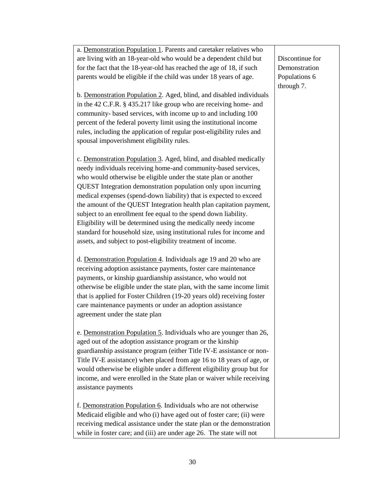| a. Demonstration Population 1. Parents and caretaker relatives who      |                 |
|-------------------------------------------------------------------------|-----------------|
| are living with an 18-year-old who would be a dependent child but       | Discontinue for |
| for the fact that the 18-year-old has reached the age of 18, if such    | Demonstration   |
| parents would be eligible if the child was under 18 years of age.       | Populations 6   |
|                                                                         | through 7.      |
| b. Demonstration Population 2. Aged, blind, and disabled individuals    |                 |
| in the 42 C.F.R. § 435.217 like group who are receiving home- and       |                 |
| community- based services, with income up to and including 100          |                 |
| percent of the federal poverty limit using the institutional income     |                 |
|                                                                         |                 |
| rules, including the application of regular post-eligibility rules and  |                 |
| spousal impoverishment eligibility rules.                               |                 |
|                                                                         |                 |
| c. Demonstration Population 3. Aged, blind, and disabled medically      |                 |
| needy individuals receiving home-and community-based services,          |                 |
| who would otherwise be eligible under the state plan or another         |                 |
| QUEST Integration demonstration population only upon incurring          |                 |
| medical expenses (spend-down liability) that is expected to exceed      |                 |
| the amount of the QUEST Integration health plan capitation payment,     |                 |
| subject to an enrollment fee equal to the spend down liability.         |                 |
| Eligibility will be determined using the medically needy income         |                 |
| standard for household size, using institutional rules for income and   |                 |
| assets, and subject to post-eligibility treatment of income.            |                 |
|                                                                         |                 |
| d. Demonstration Population 4. Individuals age 19 and 20 who are        |                 |
| receiving adoption assistance payments, foster care maintenance         |                 |
| payments, or kinship guardianship assistance, who would not             |                 |
| otherwise be eligible under the state plan, with the same income limit  |                 |
| that is applied for Foster Children (19-20 years old) receiving foster  |                 |
| care maintenance payments or under an adoption assistance               |                 |
| agreement under the state plan                                          |                 |
|                                                                         |                 |
| e. Demonstration Population 5. Individuals who are younger than 26,     |                 |
| aged out of the adoption assistance program or the kinship              |                 |
| guardianship assistance program (either Title IV-E assistance or non-   |                 |
|                                                                         |                 |
| Title IV-E assistance) when placed from age 16 to 18 years of age, or   |                 |
| would otherwise be eligible under a different eligibility group but for |                 |
| income, and were enrolled in the State plan or waiver while receiving   |                 |
| assistance payments                                                     |                 |
|                                                                         |                 |
| f. Demonstration Population 6. Individuals who are not otherwise        |                 |
| Medicaid eligible and who (i) have aged out of foster care; (ii) were   |                 |
| receiving medical assistance under the state plan or the demonstration  |                 |
| while in foster care; and (iii) are under age 26. The state will not    |                 |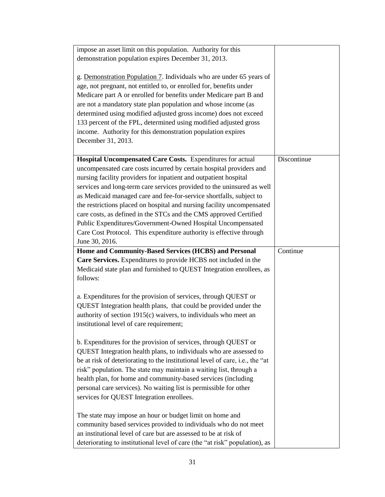| impose an asset limit on this population. Authority for this                                                                                    |             |
|-------------------------------------------------------------------------------------------------------------------------------------------------|-------------|
| demonstration population expires December 31, 2013.                                                                                             |             |
|                                                                                                                                                 |             |
| g. Demonstration Population 7. Individuals who are under 65 years of                                                                            |             |
|                                                                                                                                                 |             |
| age, not pregnant, not entitled to, or enrolled for, benefits under                                                                             |             |
| Medicare part A or enrolled for benefits under Medicare part B and                                                                              |             |
| are not a mandatory state plan population and whose income (as                                                                                  |             |
| determined using modified adjusted gross income) does not exceed                                                                                |             |
| 133 percent of the FPL, determined using modified adjusted gross                                                                                |             |
| income. Authority for this demonstration population expires                                                                                     |             |
| December 31, 2013.                                                                                                                              |             |
|                                                                                                                                                 |             |
| Hospital Uncompensated Care Costs. Expenditures for actual                                                                                      | Discontinue |
|                                                                                                                                                 |             |
| uncompensated care costs incurred by certain hospital providers and                                                                             |             |
| nursing facility providers for inpatient and outpatient hospital                                                                                |             |
| services and long-term care services provided to the uninsured as well                                                                          |             |
| as Medicaid managed care and fee-for-service shortfalls, subject to                                                                             |             |
| the restrictions placed on hospital and nursing facility uncompensated                                                                          |             |
| care costs, as defined in the STCs and the CMS approved Certified                                                                               |             |
| Public Expenditures/Government-Owned Hospital Uncompensated                                                                                     |             |
| Care Cost Protocol. This expenditure authority is effective through                                                                             |             |
| June 30, 2016.                                                                                                                                  |             |
|                                                                                                                                                 |             |
| Home and Community-Based Services (HCBS) and Personal                                                                                           | Continue    |
|                                                                                                                                                 |             |
| Care Services. Expenditures to provide HCBS not included in the                                                                                 |             |
| Medicaid state plan and furnished to QUEST Integration enrollees, as                                                                            |             |
| follows:                                                                                                                                        |             |
|                                                                                                                                                 |             |
| a. Expenditures for the provision of services, through QUEST or                                                                                 |             |
|                                                                                                                                                 |             |
| QUEST Integration health plans, that could be provided under the                                                                                |             |
| authority of section 1915(c) waivers, to individuals who meet an                                                                                |             |
| institutional level of care requirement;                                                                                                        |             |
|                                                                                                                                                 |             |
| b. Expenditures for the provision of services, through QUEST or                                                                                 |             |
| QUEST Integration health plans, to individuals who are assessed to                                                                              |             |
| be at risk of deteriorating to the institutional level of care, i.e., the "at                                                                   |             |
| risk" population. The state may maintain a waiting list, through a                                                                              |             |
| health plan, for home and community-based services (including                                                                                   |             |
| personal care services). No waiting list is permissible for other                                                                               |             |
|                                                                                                                                                 |             |
| services for QUEST Integration enrollees.                                                                                                       |             |
|                                                                                                                                                 |             |
| The state may impose an hour or budget limit on home and                                                                                        |             |
| community based services provided to individuals who do not meet                                                                                |             |
| an institutional level of care but are assessed to be at risk of<br>deteriorating to institutional level of care (the "at risk" population), as |             |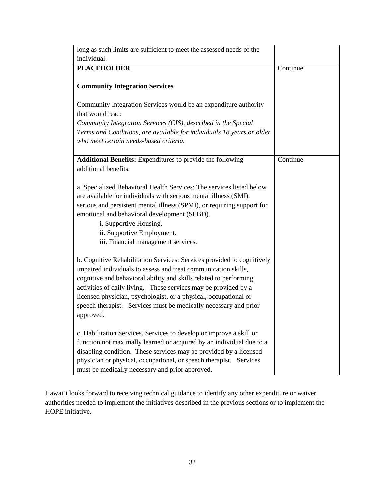| long as such limits are sufficient to meet the assessed needs of the               |          |
|------------------------------------------------------------------------------------|----------|
| individual.                                                                        |          |
| <b>PLACEHOLDER</b>                                                                 | Continue |
|                                                                                    |          |
| <b>Community Integration Services</b>                                              |          |
| Community Integration Services would be an expenditure authority                   |          |
| that would read:                                                                   |          |
| Community Integration Services (CIS), described in the Special                     |          |
| Terms and Conditions, are available for individuals 18 years or older              |          |
| who meet certain needs-based criteria.                                             |          |
|                                                                                    | Continue |
| Additional Benefits: Expenditures to provide the following<br>additional benefits. |          |
|                                                                                    |          |
| a. Specialized Behavioral Health Services: The services listed below               |          |
| are available for individuals with serious mental illness (SMI),                   |          |
| serious and persistent mental illness (SPMI), or requiring support for             |          |
| emotional and behavioral development (SEBD).                                       |          |
| i. Supportive Housing.                                                             |          |
| ii. Supportive Employment.                                                         |          |
| iii. Financial management services.                                                |          |
| b. Cognitive Rehabilitation Services: Services provided to cognitively             |          |
| impaired individuals to assess and treat communication skills,                     |          |
| cognitive and behavioral ability and skills related to performing                  |          |
| activities of daily living. These services may be provided by a                    |          |
| licensed physician, psychologist, or a physical, occupational or                   |          |
| speech therapist. Services must be medically necessary and prior                   |          |
| approved.                                                                          |          |
|                                                                                    |          |
| c. Habilitation Services. Services to develop or improve a skill or                |          |
| function not maximally learned or acquired by an individual due to a               |          |
| disabling condition. These services may be provided by a licensed                  |          |
| physician or physical, occupational, or speech therapist. Services                 |          |
| must be medically necessary and prior approved.                                    |          |

Hawai'i looks forward to receiving technical guidance to identify any other expenditure or waiver authorities needed to implement the initiatives described in the previous sections or to implement the HOPE initiative.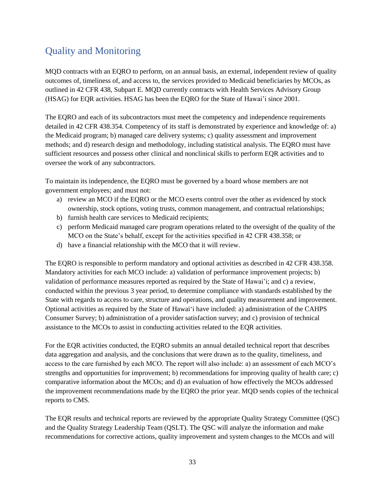# <span id="page-32-0"></span>Quality and Monitoring

MQD contracts with an EQRO to perform, on an annual basis, an external, independent review of quality outcomes of, timeliness of, and access to, the services provided to Medicaid beneficiaries by MCOs, as outlined in 42 CFR 438, Subpart E. MQD currently contracts with Health Services Advisory Group (HSAG) for EQR activities. HSAG has been the EQRO for the State of Hawai'i since 2001.

The EQRO and each of its subcontractors must meet the competency and independence requirements detailed in 42 CFR 438.354. Competency of its staff is demonstrated by experience and knowledge of: a) the Medicaid program; b) managed care delivery systems; c) quality assessment and improvement methods; and d) research design and methodology, including statistical analysis. The EQRO must have sufficient resources and possess other clinical and nonclinical skills to perform EQR activities and to oversee the work of any subcontractors.

To maintain its independence, the EQRO must be governed by a board whose members are not government employees; and must not:

- a) review an MCO if the EQRO or the MCO exerts control over the other as evidenced by stock ownership, stock options, voting trusts, common management, and contractual relationships;
- b) furnish health care services to Medicaid recipients;
- c) perform Medicaid managed care program operations related to the oversight of the quality of the MCO on the State's behalf, except for the activities specified in 42 CFR 438.358; or
- d) have a financial relationship with the MCO that it will review.

The EQRO is responsible to perform mandatory and optional activities as described in 42 CFR 438.358. Mandatory activities for each MCO include: a) validation of performance improvement projects; b) validation of performance measures reported as required by the State of Hawai'i; and c) a review, conducted within the previous 3 year period, to determine compliance with standards established by the State with regards to access to care, structure and operations, and quality measurement and improvement. Optional activities as required by the State of Hawai'i have included: a) administration of the CAHPS Consumer Survey; b) administration of a provider satisfaction survey; and c) provision of technical assistance to the MCOs to assist in conducting activities related to the EQR activities.

For the EQR activities conducted, the EQRO submits an annual detailed technical report that describes data aggregation and analysis, and the conclusions that were drawn as to the quality, timeliness, and access to the care furnished by each MCO. The report will also include: a) an assessment of each MCO's strengths and opportunities for improvement; b) recommendations for improving quality of health care; c) comparative information about the MCOs; and d) an evaluation of how effectively the MCOs addressed the improvement recommendations made by the EQRO the prior year. MQD sends copies of the technical reports to CMS.

The EQR results and technical reports are reviewed by the appropriate Quality Strategy Committee (QSC) and the Quality Strategy Leadership Team (QSLT). The QSC will analyze the information and make recommendations for corrective actions, quality improvement and system changes to the MCOs and will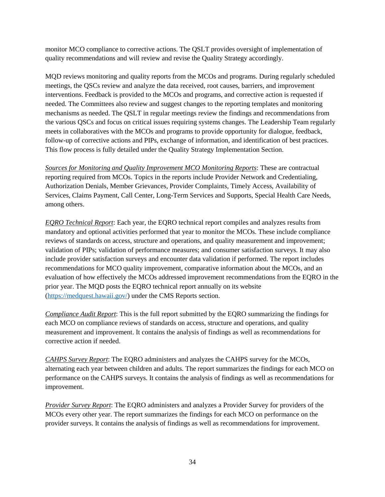monitor MCO compliance to corrective actions. The QSLT provides oversight of implementation of quality recommendations and will review and revise the Quality Strategy accordingly.

MQD reviews monitoring and quality reports from the MCOs and programs. During regularly scheduled meetings, the QSCs review and analyze the data received, root causes, barriers, and improvement interventions. Feedback is provided to the MCOs and programs, and corrective action is requested if needed. The Committees also review and suggest changes to the reporting templates and monitoring mechanisms as needed. The QSLT in regular meetings review the findings and recommendations from the various QSCs and focus on critical issues requiring systems changes. The Leadership Team regularly meets in collaboratives with the MCOs and programs to provide opportunity for dialogue, feedback, follow-up of corrective actions and PIPs, exchange of information, and identification of best practices. This flow process is fully detailed under the Quality Strategy Implementation Section.

*Sources for Monitoring and Quality Improvement MCO Monitoring Reports*: These are contractual reporting required from MCOs. Topics in the reports include Provider Network and Credentialing, Authorization Denials, Member Grievances, Provider Complaints, Timely Access, Availability of Services, Claims Payment, Call Center, Long-Term Services and Supports, Special Health Care Needs, among others.

*EQRO Technical Report*: Each year, the EQRO technical report compiles and analyzes results from mandatory and optional activities performed that year to monitor the MCOs. These include compliance reviews of standards on access, structure and operations, and quality measurement and improvement; validation of PIPs; validation of performance measures; and consumer satisfaction surveys. It may also include provider satisfaction surveys and encounter data validation if performed. The report includes recommendations for MCO quality improvement, comparative information about the MCOs, and an evaluation of how effectively the MCOs addressed improvement recommendations from the EQRO in the prior year. The MQD posts the EQRO technical report annually on its website [\(https://medquest.hawaii.gov/\)](https://medquest.hawaii.gov/) under the CMS Reports section.

*Compliance Audit Report*: This is the full report submitted by the EQRO summarizing the findings for each MCO on compliance reviews of standards on access, structure and operations, and quality measurement and improvement. It contains the analysis of findings as well as recommendations for corrective action if needed.

*CAHPS Survey Report*: The EQRO administers and analyzes the CAHPS survey for the MCOs, alternating each year between children and adults. The report summarizes the findings for each MCO on performance on the CAHPS surveys. It contains the analysis of findings as well as recommendations for improvement.

*Provider Survey Report*: The EQRO administers and analyzes a Provider Survey for providers of the MCOs every other year. The report summarizes the findings for each MCO on performance on the provider surveys. It contains the analysis of findings as well as recommendations for improvement.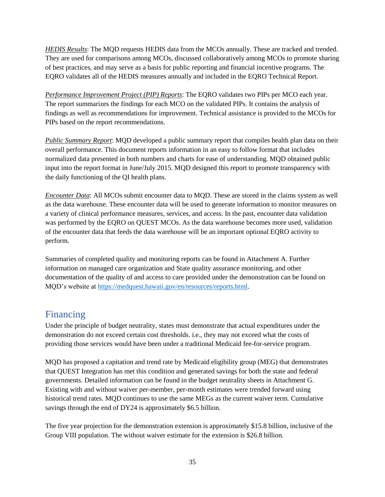*HEDIS Results*: The MQD requests HEDIS data from the MCOs annually. These are tracked and trended. They are used for comparisons among MCOs, discussed collaboratively among MCOs to promote sharing of best practices, and may serve as a basis for public reporting and financial incentive programs. The EQRO validates all of the HEDIS measures annually and included in the EQRO Technical Report.

*Performance Improvement Project (PIP) Reports*: The EQRO validates two PIPs per MCO each year. The report summarizes the findings for each MCO on the validated PIPs. It contains the analysis of findings as well as recommendations for improvement. Technical assistance is provided to the MCOs for PIPs based on the report recommendations.

*Public Summary Report*: MQD developed a public summary report that compiles health plan data on their overall performance. This document reports information in an easy to follow format that includes normalized data presented in both numbers and charts for ease of understanding. MQD obtained public input into the report format in June/July 2015. MQD designed this report to promote transparency with the daily functioning of the QI health plans.

*Encounter Data*: All MCOs submit encounter data to MQD. These are stored in the claims system as well as the data warehouse. These encounter data will be used to generate information to monitor measures on a variety of clinical performance measures, services, and access. In the past, encounter data validation was performed by the EQRO on QUEST MCOs. As the data warehouse becomes more used, validation of the encounter data that feeds the data warehouse will be an important optional EQRO activity to perform.

Summaries of completed quality and monitoring reports can be found in Attachment A. Further information on managed care organization and State quality assurance monitoring, and other documentation of the quality of and access to care provided under the demonstration can be found on MQD's website at [https://medquest.hawaii.gov/en/resources/reports.html.](https://medquest.hawaii.gov/en/resources/reports.html)

# <span id="page-34-0"></span>Financing

Under the principle of budget neutrality, states must demonstrate that actual expenditures under the demonstration do not exceed certain cost thresholds. i.e., they may not exceed what the costs of providing those services would have been under a traditional Medicaid fee-for-service program.

MQD has proposed a capitation and trend rate by Medicaid eligibility group (MEG) that demonstrates that QUEST Integration has met this condition and generated savings for both the state and federal governments. Detailed information can be found in the budget neutrality sheets in Attachment G. Existing with and without waiver per-member, per-month estimates were trended forward using historical trend rates. MQD continues to use the same MEGs as the current waiver term. Cumulative savings through the end of DY24 is approximately \$6.5 billion.

The five year projection for the demonstration extension is approximately \$15.8 billion, inclusive of the Group VIII population. The without waiver estimate for the extension is \$26.8 billion.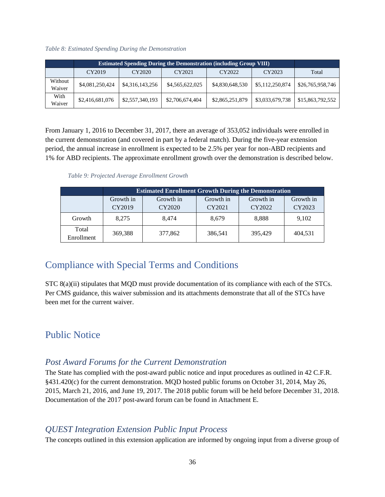<span id="page-35-4"></span>*Table 8: Estimated Spending During the Demonstration*

|                   | <b>Estimated Spending During the Demonstration (including Group VIII)</b> |                 |                 |                 |                 |                  |
|-------------------|---------------------------------------------------------------------------|-----------------|-----------------|-----------------|-----------------|------------------|
|                   | CY2019                                                                    | CY2020          | CY2021          | CY2022          | CY2023          | Total            |
| Without<br>Waiver | \$4,081,250,424                                                           | \$4,316,143,256 | \$4,565,622,025 | \$4,830,648,530 | \$5,112,250,874 | \$26,765,958,746 |
| With<br>Waiver    | \$2,416,681,076                                                           | \$2,557,340,193 | \$2,706,674,404 | \$2,865,251,879 | \$3,033,679,738 | \$15,863,792,552 |

From January 1, 2016 to December 31, 2017, there an average of 353,052 individuals were enrolled in the current demonstration (and covered in part by a federal match). During the five-year extension period, the annual increase in enrollment is expected to be 2.5% per year for non-ABD recipients and 1% for ABD recipients. The approximate enrollment growth over the demonstration is described below.

*Table 9: Projected Average Enrollment Growth*

<span id="page-35-5"></span>

|                     | <b>Estimated Enrollment Growth During the Demonstration</b> |           |           |           |           |
|---------------------|-------------------------------------------------------------|-----------|-----------|-----------|-----------|
|                     | Growth in                                                   | Growth in | Growth in | Growth in | Growth in |
|                     | CY2019                                                      | CY2020    | CY2021    | CY2022    | CY2023    |
| Growth              | 8.275                                                       | 8.474     | 8,679     | 8,888     | 9,102     |
| Total<br>Enrollment | 369,388                                                     | 377,862   | 386,541   | 395,429   | 404,531   |

# <span id="page-35-0"></span>Compliance with Special Terms and Conditions

STC 8(a)(ii) stipulates that MQD must provide documentation of its compliance with each of the STCs. Per CMS guidance, this waiver submission and its attachments demonstrate that all of the STCs have been met for the current waiver.

# <span id="page-35-1"></span>Public Notice

### <span id="page-35-2"></span>*Post Award Forums for the Current Demonstration*

The State has complied with the post-award public notice and input procedures as outlined in 42 C.F.R. §431.420(c) for the current demonstration. MQD hosted public forums on October 31, 2014, May 26, 2015, March 21, 2016, and June 19, 2017. The 2018 public forum will be held before December 31, 2018. Documentation of the 2017 post-award forum can be found in Attachment E.

### <span id="page-35-3"></span>*QUEST Integration Extension Public Input Process*

The concepts outlined in this extension application are informed by ongoing input from a diverse group of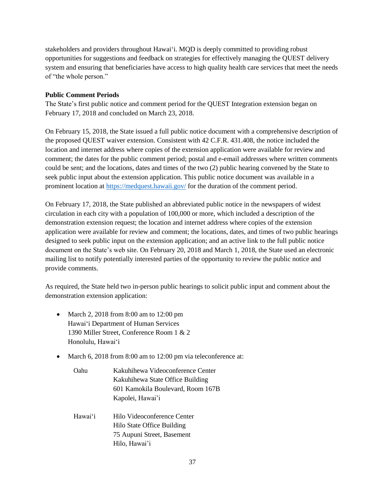stakeholders and providers throughout Hawai'i. MQD is deeply committed to providing robust opportunities for suggestions and feedback on strategies for effectively managing the QUEST delivery system and ensuring that beneficiaries have access to high quality health care services that meet the needs of "the whole person."

#### **Public Comment Periods**

The State's first public notice and comment period for the QUEST Integration extension began on February 17, 2018 and concluded on March 23, 2018.

On February 15, 2018, the State issued a full public notice document with a comprehensive description of the proposed QUEST waiver extension. Consistent with 42 C.F.R. 431.408, the notice included the location and internet address where copies of the extension application were available for review and comment; the dates for the public comment period; postal and e-email addresses where written comments could be sent; and the locations, dates and times of the two (2) public hearing convened by the State to seek public input about the extension application. This public notice document was available in a prominent location at<https://medquest.hawaii.gov/> for the duration of the comment period.

On February 17, 2018, the State published an abbreviated public notice in the newspapers of widest circulation in each city with a population of 100,000 or more, which included a description of the demonstration extension request; the location and internet address where copies of the extension application were available for review and comment; the locations, dates, and times of two public hearings designed to seek public input on the extension application; and an active link to the full public notice document on the State's web site. On February 20, 2018 and March 1, 2018, the State used an electronic mailing list to notify potentially interested parties of the opportunity to review the public notice and provide comments.

As required, the State held two in-person public hearings to solicit public input and comment about the demonstration extension application:

- March 2, 2018 from 8:00 am to 12:00 pm Hawai'i Department of Human Services 1390 Miller Street, Conference Room 1 & 2 Honolulu, Hawai'i
- March 6, 2018 from 8:00 am to 12:00 pm via teleconference at:
	- Oahu Kakuhihewa Videoconference Center Kakuhihewa State Office Building 601 Kamokila Boulevard, Room 167B Kapolei, Hawai'i
	- Hawai'i Hilo Videoconference Center Hilo State Office Building 75 Aupuni Street, Basement Hilo, Hawai'i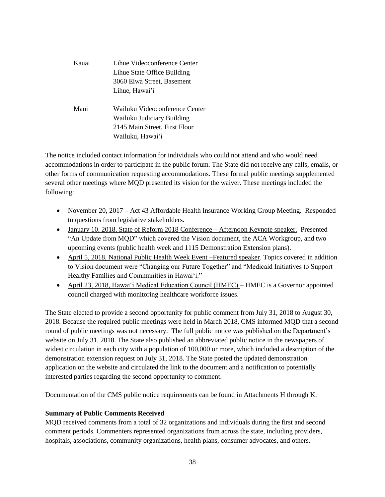| Kauai | Lihue Videoconference Center<br>Lihue State Office Building<br>3060 Eiwa Street, Basement<br>Lihue, Hawai'i       |
|-------|-------------------------------------------------------------------------------------------------------------------|
| Maui  | Wailuku Videoconference Center<br>Wailuku Judiciary Building<br>2145 Main Street, First Floor<br>Wailuku, Hawai'i |

The notice included contact information for individuals who could not attend and who would need accommodations in order to participate in the public forum. The State did not receive any calls, emails, or other forms of communication requesting accommodations. These formal public meetings supplemented several other meetings where MQD presented its vision for the waiver. These meetings included the following:

- November 20, 2017 Act 43 Affordable Health Insurance Working Group Meeting. Responded to questions from legislative stakeholders.
- January 10, 2018, State of Reform 2018 Conference Afternoon Keynote speaker. Presented "An Update from MQD" which covered the Vision document, the ACA Workgroup, and two upcoming events (public health week and 1115 Demonstration Extension plans).
- April 5, 2018, National Public Health Week Event –Featured speaker. Topics covered in addition to Vision document were "Changing our Future Together" and "Medicaid Initiatives to Support Healthy Families and Communities in Hawai'i."
- April 23, 2018, Hawai'i Medical Education Council (HMEC) HMEC is a Governor appointed council charged with monitoring healthcare workforce issues.

The State elected to provide a second opportunity for public comment from July 31, 2018 to August 30, 2018. Because the required public meetings were held in March 2018, CMS informed MQD that a second round of public meetings was not necessary. The full public notice was published on the Department's website on July 31, 2018. The State also published an abbreviated public notice in the newspapers of widest circulation in each city with a population of 100,000 or more, which included a description of the demonstration extension request on July 31, 2018. The State posted the updated demonstration application on the website and circulated the link to the document and a notification to potentially interested parties regarding the second opportunity to comment.

Documentation of the CMS public notice requirements can be found in Attachments H through K.

#### **Summary of Public Comments Received**

MQD received comments from a total of 32 organizations and individuals during the first and second comment periods. Commenters represented organizations from across the state, including providers, hospitals, associations, community organizations, health plans, consumer advocates, and others.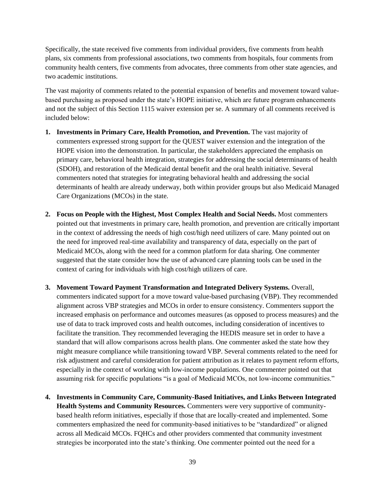Specifically, the state received five comments from individual providers, five comments from health plans, six comments from professional associations, two comments from hospitals, four comments from community health centers, five comments from advocates, three comments from other state agencies, and two academic institutions.

The vast majority of comments related to the potential expansion of benefits and movement toward valuebased purchasing as proposed under the state's HOPE initiative, which are future program enhancements and not the subject of this Section 1115 waiver extension per se. A summary of all comments received is included below:

- **1. Investments in Primary Care, Health Promotion, and Prevention.** The vast majority of commenters expressed strong support for the QUEST waiver extension and the integration of the HOPE vision into the demonstration. In particular, the stakeholders appreciated the emphasis on primary care, behavioral health integration, strategies for addressing the social determinants of health (SDOH), and restoration of the Medicaid dental benefit and the oral health initiative. Several commenters noted that strategies for integrating behavioral health and addressing the social determinants of health are already underway, both within provider groups but also Medicaid Managed Care Organizations (MCOs) in the state.
- **2. Focus on People with the Highest, Most Complex Health and Social Needs.** Most commenters pointed out that investments in primary care, health promotion, and prevention are critically important in the context of addressing the needs of high cost/high need utilizers of care. Many pointed out on the need for improved real-time availability and transparency of data, especially on the part of Medicaid MCOs, along with the need for a common platform for data sharing. One commenter suggested that the state consider how the use of advanced care planning tools can be used in the context of caring for individuals with high cost/high utilizers of care.
- **3. Movement Toward Payment Transformation and Integrated Delivery Systems.** Overall, commenters indicated support for a move toward value-based purchasing (VBP). They recommended alignment across VBP strategies and MCOs in order to ensure consistency. Commenters support the increased emphasis on performance and outcomes measures (as opposed to process measures) and the use of data to track improved costs and health outcomes, including consideration of incentives to facilitate the transition. They recommended leveraging the HEDIS measure set in order to have a standard that will allow comparisons across health plans. One commenter asked the state how they might measure compliance while transitioning toward VBP. Several comments related to the need for risk adjustment and careful consideration for patient attribution as it relates to payment reform efforts, especially in the context of working with low-income populations. One commenter pointed out that assuming risk for specific populations "is a goal of Medicaid MCOs, not low-income communities."
- **4. Investments in Community Care, Community-Based Initiatives, and Links Between Integrated Health Systems and Community Resources.** Commenters were very supportive of communitybased health reform initiatives, especially if those that are locally-created and implemented. Some commenters emphasized the need for community-based initiatives to be "standardized" or aligned across all Medicaid MCOs. FQHCs and other providers commented that community investment strategies be incorporated into the state's thinking. One commenter pointed out the need for a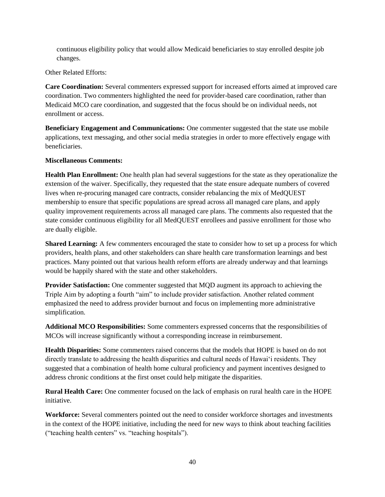continuous eligibility policy that would allow Medicaid beneficiaries to stay enrolled despite job changes.

Other Related Efforts:

**Care Coordination:** Several commenters expressed support for increased efforts aimed at improved care coordination. Two commenters highlighted the need for provider-based care coordination, rather than Medicaid MCO care coordination, and suggested that the focus should be on individual needs, not enrollment or access.

**Beneficiary Engagement and Communications:** One commenter suggested that the state use mobile applications, text messaging, and other social media strategies in order to more effectively engage with beneficiaries.

#### **Miscellaneous Comments:**

**Health Plan Enrollment:** One health plan had several suggestions for the state as they operationalize the extension of the waiver. Specifically, they requested that the state ensure adequate numbers of covered lives when re-procuring managed care contracts, consider rebalancing the mix of MedQUEST membership to ensure that specific populations are spread across all managed care plans, and apply quality improvement requirements across all managed care plans. The comments also requested that the state consider continuous eligibility for all MedQUEST enrollees and passive enrollment for those who are dually eligible.

**Shared Learning:** A few commenters encouraged the state to consider how to set up a process for which providers, health plans, and other stakeholders can share health care transformation learnings and best practices. Many pointed out that various health reform efforts are already underway and that learnings would be happily shared with the state and other stakeholders.

**Provider Satisfaction:** One commenter suggested that MQD augment its approach to achieving the Triple Aim by adopting a fourth "aim" to include provider satisfaction. Another related comment emphasized the need to address provider burnout and focus on implementing more administrative simplification.

**Additional MCO Responsibilities:** Some commenters expressed concerns that the responsibilities of MCOs will increase significantly without a corresponding increase in reimbursement.

**Health Disparities:** Some commenters raised concerns that the models that HOPE is based on do not directly translate to addressing the health disparities and cultural needs of Hawai'i residents. They suggested that a combination of health home cultural proficiency and payment incentives designed to address chronic conditions at the first onset could help mitigate the disparities.

**Rural Health Care:** One commenter focused on the lack of emphasis on rural health care in the HOPE initiative.

**Workforce:** Several commenters pointed out the need to consider workforce shortages and investments in the context of the HOPE initiative, including the need for new ways to think about teaching facilities ("teaching health centers" vs. "teaching hospitals").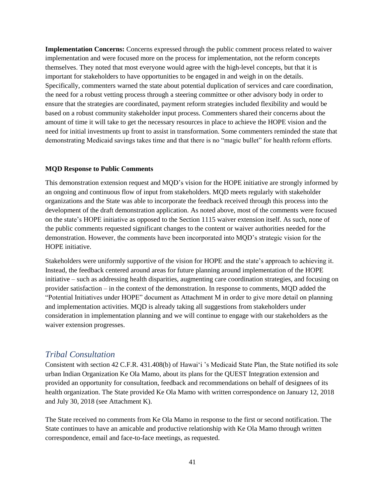**Implementation Concerns:** Concerns expressed through the public comment process related to waiver implementation and were focused more on the process for implementation, not the reform concepts themselves. They noted that most everyone would agree with the high-level concepts, but that it is important for stakeholders to have opportunities to be engaged in and weigh in on the details. Specifically, commenters warned the state about potential duplication of services and care coordination, the need for a robust vetting process through a steering committee or other advisory body in order to ensure that the strategies are coordinated, payment reform strategies included flexibility and would be based on a robust community stakeholder input process. Commenters shared their concerns about the amount of time it will take to get the necessary resources in place to achieve the HOPE vision and the need for initial investments up front to assist in transformation. Some commenters reminded the state that demonstrating Medicaid savings takes time and that there is no "magic bullet" for health reform efforts.

#### **MQD Response to Public Comments**

This demonstration extension request and MQD's vision for the HOPE initiative are strongly informed by an ongoing and continuous flow of input from stakeholders. MQD meets regularly with stakeholder organizations and the State was able to incorporate the feedback received through this process into the development of the draft demonstration application. As noted above, most of the comments were focused on the state's HOPE initiative as opposed to the Section 1115 waiver extension itself. As such, none of the public comments requested significant changes to the content or waiver authorities needed for the demonstration. However, the comments have been incorporated into MQD's strategic vision for the HOPE initiative.

Stakeholders were uniformly supportive of the vision for HOPE and the state's approach to achieving it. Instead, the feedback centered around areas for future planning around implementation of the HOPE initiative – such as addressing health disparities, augmenting care coordination strategies, and focusing on provider satisfaction – in the context of the demonstration. In response to comments, MQD added the "Potential Initiatives under HOPE" document as Attachment M in order to give more detail on planning and implementation activities. MQD is already taking all suggestions from stakeholders under consideration in implementation planning and we will continue to engage with our stakeholders as the waiver extension progresses.

### <span id="page-40-0"></span>*Tribal Consultation*

Consistent with section 42 C.F.R. 431.408(b) of Hawai'i 's Medicaid State Plan, the State notified its sole urban Indian Organization Ke Ola Mamo, about its plans for the QUEST Integration extension and provided an opportunity for consultation, feedback and recommendations on behalf of designees of its health organization. The State provided Ke Ola Mamo with written correspondence on January 12, 2018 and July 30, 2018 (see Attachment K).

The State received no comments from Ke Ola Mamo in response to the first or second notification. The State continues to have an amicable and productive relationship with Ke Ola Mamo through written correspondence, email and face-to-face meetings, as requested.